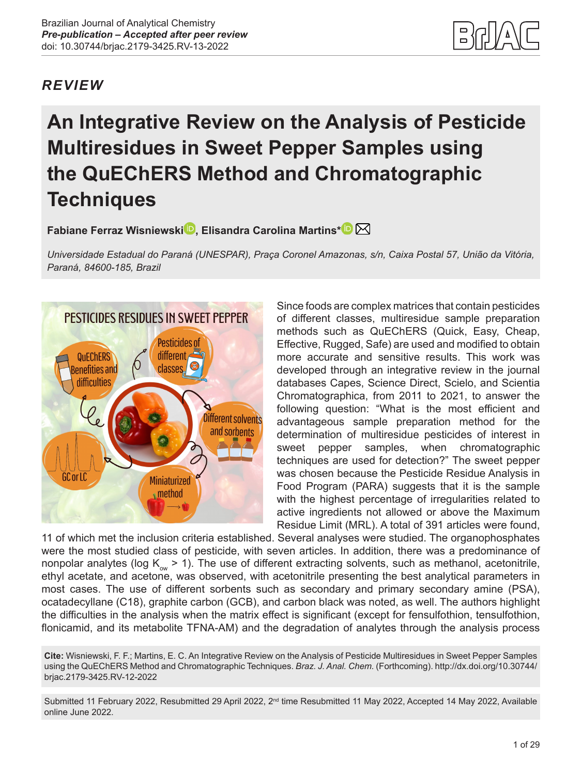## *REVIEW*

# **An Integrative Review on the Analysis of Pesticide Multiresidues in Sweet Pepper Samples using the QuEChERS Method and Chromatographic Techniques**

**Fabiane Ferraz Wisniewsk[i](https://orcid.org/0000-0002-4922-6276) , Elisandra Carolina Martins[\\*](https://orcid.org/0000-0001-9519-5709)**

*Universidade Estadual do Paraná (UNESPAR), Praça Coronel Amazonas, s/n, Caixa Postal 57, União da Vitória, Paraná, 84600-185, Brazil*



Since foods are complex matrices that contain pesticides of different classes, multiresidue sample preparation methods such as QuEChERS (Quick, Easy, Cheap, Effective, Rugged, Safe) are used and modified to obtain more accurate and sensitive results. This work was developed through an integrative review in the journal databases Capes, Science Direct, Scielo, and Scientia Chromatographica, from 2011 to 2021, to answer the following question: "What is the most efficient and advantageous sample preparation method for the determination of multiresidue pesticides of interest in sweet pepper samples, when chromatographic techniques are used for detection?" The sweet pepper was chosen because the Pesticide Residue Analysis in Food Program (PARA) suggests that it is the sample with the highest percentage of irregularities related to active ingredients not allowed or above the Maximum Residue Limit (MRL). A total of 391 articles were found,

11 of which met the inclusion criteria established. Several analyses were studied. The organophosphates were the most studied class of pesticide, with seven articles. In addition, there was a predominance of nonpolar analytes (log  $K_{\text{ow}} > 1$ ). The use of different extracting solvents, such as methanol, acetonitrile, ethyl acetate, and acetone, was observed, with acetonitrile presenting the best analytical parameters in most cases. The use of different sorbents such as secondary and primary secondary amine (PSA), ocatadecyllane (C18), graphite carbon (GCB), and carbon black was noted, as well. The authors highlight the difficulties in the analysis when the matrix effect is significant (except for fensulfothion, tensulfothion, flonicamid, and its metabolite TFNA-AM) and the degradation of analytes through the analysis process

**Cite:** Wisniewski, F. F.; Martins, E. C. An Integrative Review on the Analysis of Pesticide Multiresidues in Sweet Pepper Samples using the QuEChERS Method and Chromatographic Techniques. *Braz. J. Anal. Chem.* (Forthcoming). [http://dx.doi.org/10.30744/](http://dx.doi.org/10.30744/brjac.2179-3425.RV-12-2022) [brjac.2179-3425.RV-12-2022](http://dx.doi.org/10.30744/brjac.2179-3425.RV-12-2022)

Submitted 11 February 2022, Resubmitted 29 April 2022, 2<sup>nd</sup> time Resubmitted 11 May 2022, Accepted 14 May 2022, Available online June 2022.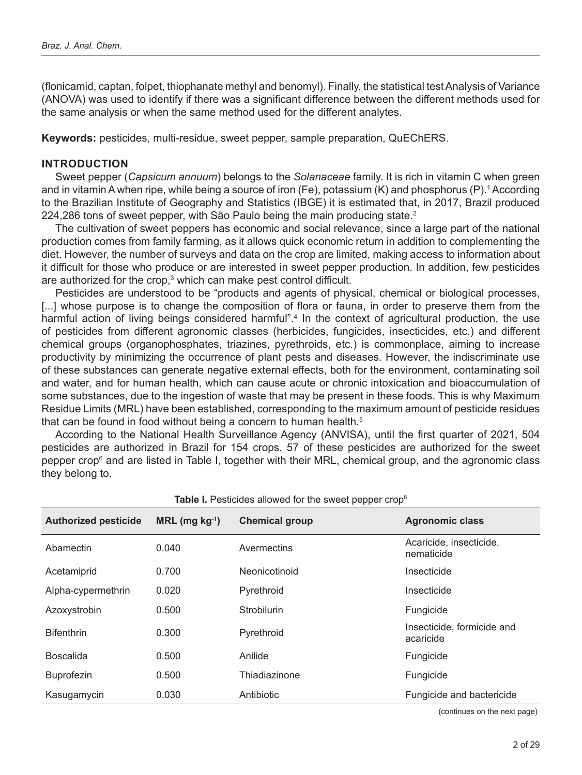(flonicamid, captan, folpet, thiophanate methyl and benomyl). Finally, the statistical test Analysis of Variance (ANOVA) was used to identify if there was a significant difference between the different methods used for the same analysis or when the same method used for the different analytes.

**Keywords:** pesticides, multi-residue, sweet pepper, sample preparation, QuEChERS.

#### **INTRODUCTION**

Sweet pepper (*Capsicum annuum*) belongs to the *Solanaceae* family. It is rich in vitamin C when green and in vitamin A when ripe, while being a source of iron (Fe), potassium (K) and phosphorus (P).<sup>1</sup> According to the Brazilian Institute of Geography and Statistics (IBGE) it is estimated that, in 2017, Brazil produced 224,286 tons of sweet pepper, with São Paulo being the main producing state.<sup>2</sup>

The cultivation of sweet peppers has economic and social relevance, since a large part of the national production comes from family farming, as it allows quick economic return in addition to complementing the diet. However, the number of surveys and data on the crop are limited, making access to information about it difficult for those who produce or are interested in sweet pepper production. In addition, few pesticides are authorized for the crop, $^3$  which can make pest control difficult.

Pesticides are understood to be "products and agents of physical, chemical or biological processes, [...] whose purpose is to change the composition of flora or fauna, in order to preserve them from the harmful action of living beings considered harmful".4 In the context of agricultural production, the use of pesticides from different agronomic classes (herbicides, fungicides, insecticides, etc.) and different chemical groups (organophosphates, triazines, pyrethroids, etc.) is commonplace, aiming to increase productivity by minimizing the occurrence of plant pests and diseases. However, the indiscriminate use of these substances can generate negative external effects, both for the environment, contaminating soil and water, and for human health, which can cause acute or chronic intoxication and bioaccumulation of some substances, due to the ingestion of waste that may be present in these foods. This is why Maximum Residue Limits (MRL) have been established, corresponding to the maximum amount of pesticide residues that can be found in food without being a concern to human health.<sup>5</sup>

According to the National Health Surveillance Agency (ANVISA), until the first quarter of 2021, 504 pesticides are authorized in Brazil for 154 crops. 57 of these pesticides are authorized for the sweet pepper crop<sup>6</sup> and are listed in Table I, together with their MRL, chemical group, and the agronomic class they belong to.

| <b>Authorized pesticide</b> | $MRL$ (mg $kg^{-1}$ ) | <b>Table I.</b> Festivates allowed for the sweet pepper Grop<br><b>Chemical group</b> | <b>Agronomic class</b>                  |
|-----------------------------|-----------------------|---------------------------------------------------------------------------------------|-----------------------------------------|
|                             |                       |                                                                                       |                                         |
| Abamectin                   | 0.040                 | Avermectins                                                                           | Acaricide, insecticide,<br>nematicide   |
| Acetamiprid                 | 0.700                 | Neonicotinoid                                                                         | Insecticide                             |
| Alpha-cypermethrin          | 0.020                 | Pyrethroid                                                                            | Insecticide                             |
| Azoxystrobin                | 0.500                 | <b>Strobilurin</b>                                                                    | Fungicide                               |
| <b>Bifenthrin</b>           | 0.300                 | Pyrethroid                                                                            | Insecticide, formicide and<br>acaricide |
| <b>Boscalida</b>            | 0.500                 | Anilide                                                                               | Fungicide                               |
| <b>Buprofezin</b>           | 0.500                 | Thiadiazinone                                                                         | Fungicide                               |
| Kasugamycin                 | 0.030                 | Antibiotic                                                                            | Fungicide and bactericide               |

**Table I.** Pesticides allowed for the sweet pepper crop6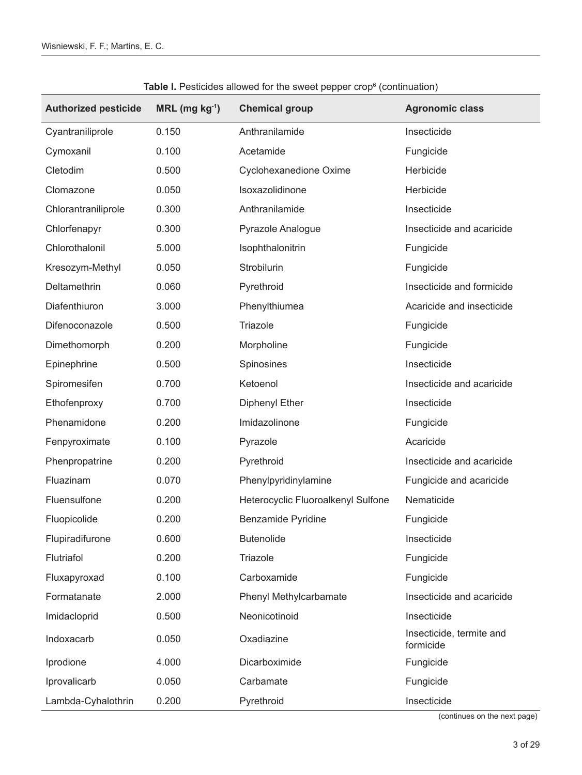| <b>Authorized pesticide</b> | $MRL$ (mg $kg^{-1}$ ) | <b>Chemical group</b>              | <b>Agronomic class</b>                |
|-----------------------------|-----------------------|------------------------------------|---------------------------------------|
| Cyantraniliprole            | 0.150                 | Anthranilamide                     | Insecticide                           |
| Cymoxanil                   | 0.100                 | Acetamide                          | Fungicide                             |
| Cletodim                    | 0.500                 | Cyclohexanedione Oxime             | Herbicide                             |
| Clomazone                   | 0.050                 | Isoxazolidinone                    | Herbicide                             |
| Chlorantraniliprole         | 0.300                 | Anthranilamide                     | Insecticide                           |
| Chlorfenapyr                | 0.300                 | Pyrazole Analogue                  | Insecticide and acaricide             |
| Chlorothalonil              | 5.000                 | Isophthalonitrin                   | Fungicide                             |
| Kresozym-Methyl             | 0.050                 | Strobilurin                        | Fungicide                             |
| Deltamethrin                | 0.060                 | Pyrethroid                         | Insecticide and formicide             |
| Diafenthiuron               | 3.000                 | Phenylthiumea                      | Acaricide and insecticide             |
| Difenoconazole              | 0.500                 | Triazole                           | Fungicide                             |
| Dimethomorph                | 0.200                 | Morpholine                         | Fungicide                             |
| Epinephrine                 | 0.500                 | Spinosines                         | Insecticide                           |
| Spiromesifen                | 0.700                 | Ketoenol                           | Insecticide and acaricide             |
| Ethofenproxy                | 0.700                 | <b>Diphenyl Ether</b>              | Insecticide                           |
| Phenamidone                 | 0.200                 | Imidazolinone                      | Fungicide                             |
| Fenpyroximate               | 0.100                 | Pyrazole                           | Acaricide                             |
| Phenpropatrine              | 0.200                 | Pyrethroid                         | Insecticide and acaricide             |
| Fluazinam                   | 0.070                 | Phenylpyridinylamine               | Fungicide and acaricide               |
| Fluensulfone                | 0.200                 | Heterocyclic Fluoroalkenyl Sulfone | Nematicide                            |
| Fluopicolide                | 0.200                 | <b>Benzamide Pyridine</b>          | Fungicide                             |
| Flupiradifurone             | 0.600                 | <b>Butenolide</b>                  | Insecticide                           |
| Flutriafol                  | 0.200                 | Triazole                           | Fungicide                             |
| Fluxapyroxad                | 0.100                 | Carboxamide                        | Fungicide                             |
| Formatanate                 | 2.000                 | Phenyl Methylcarbamate             | Insecticide and acaricide             |
| Imidacloprid                | 0.500                 | Neonicotinoid                      | Insecticide                           |
| Indoxacarb                  | 0.050                 | Oxadiazine                         | Insecticide, termite and<br>formicide |
| Iprodione                   | 4.000                 | Dicarboximide                      | Fungicide                             |
| Iprovalicarb                | 0.050                 | Carbamate                          | Fungicide                             |
| Lambda-Cyhalothrin          | 0.200                 | Pyrethroid                         | Insecticide                           |

**Table I.** Pesticides allowed for the sweet pepper crop<sup>6</sup> (continuation)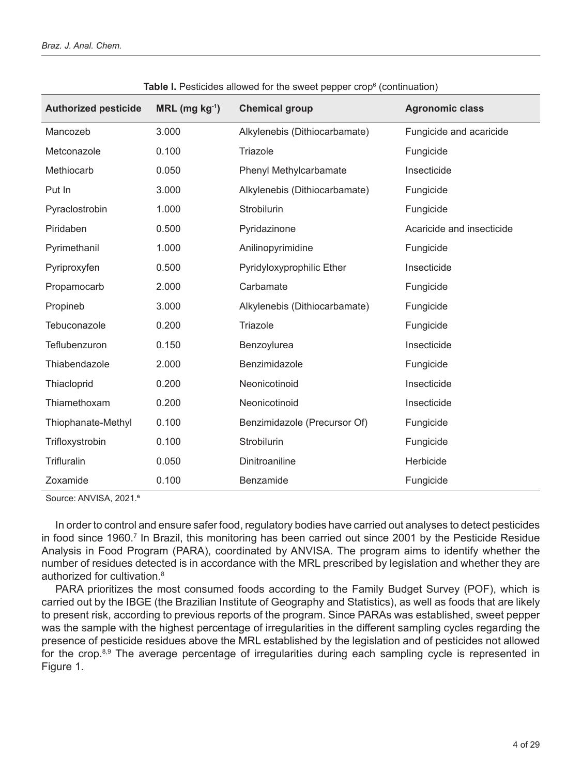| <b>Authorized pesticide</b> | $MRL$ (mg $kg^{-1}$ ) | <b>Chemical group</b>         | <b>Agronomic class</b>    |
|-----------------------------|-----------------------|-------------------------------|---------------------------|
| Mancozeb                    | 3.000                 | Alkylenebis (Dithiocarbamate) | Fungicide and acaricide   |
| Metconazole                 | 0.100                 | Triazole                      | Fungicide                 |
| Methiocarb                  | 0.050                 | Phenyl Methylcarbamate        | Insecticide               |
| Put In                      | 3.000                 | Alkylenebis (Dithiocarbamate) | Fungicide                 |
| Pyraclostrobin              | 1.000                 | Strobilurin                   | Fungicide                 |
| Piridaben                   | 0.500                 | Pyridazinone                  | Acaricide and insecticide |
| Pyrimethanil                | 1.000                 | Anilinopyrimidine             | Fungicide                 |
| Pyriproxyfen                | 0.500                 | Pyridyloxyprophilic Ether     | Insecticide               |
| Propamocarb                 | 2.000                 | Carbamate                     | Fungicide                 |
| Propineb                    | 3.000                 | Alkylenebis (Dithiocarbamate) | Fungicide                 |
| Tebuconazole                | 0.200                 | Triazole                      | Fungicide                 |
| Teflubenzuron               | 0.150                 | Benzoylurea                   | Insecticide               |
| Thiabendazole               | 2.000                 | Benzimidazole                 | Fungicide                 |
| Thiacloprid                 | 0.200                 | Neonicotinoid                 | Insecticide               |
| Thiamethoxam                | 0.200                 | Neonicotinoid                 | Insecticide               |
| Thiophanate-Methyl          | 0.100                 | Benzimidazole (Precursor Of)  | Fungicide                 |
| Trifloxystrobin             | 0.100                 | Strobilurin                   | Fungicide                 |
| Trifluralin                 | 0.050                 | Dinitroaniline                | Herbicide                 |
| Zoxamide                    | 0.100                 | Benzamide                     | Fungicide                 |

**Table I.** Pesticides allowed for the sweet pepper crop<sup>6</sup> (continuation)

Source: ANVISA, 2021.<sup>6</sup>

In order to control and ensure safer food, regulatory bodies have carried out analyses to detect pesticides in food since 1960.<sup>7</sup> In Brazil, this monitoring has been carried out since 2001 by the Pesticide Residue Analysis in Food Program (PARA), coordinated by ANVISA. The program aims to identify whether the number of residues detected is in accordance with the MRL prescribed by legislation and whether they are authorized for cultivation.8

PARA prioritizes the most consumed foods according to the Family Budget Survey (POF), which is carried out by the IBGE (the Brazilian Institute of Geography and Statistics), as well as foods that are likely to present risk, according to previous reports of the program. Since PARAs was established, sweet pepper was the sample with the highest percentage of irregularities in the different sampling cycles regarding the presence of pesticide residues above the MRL established by the legislation and of pesticides not allowed for the crop.8,9 The average percentage of irregularities during each sampling cycle is represented in Figure 1.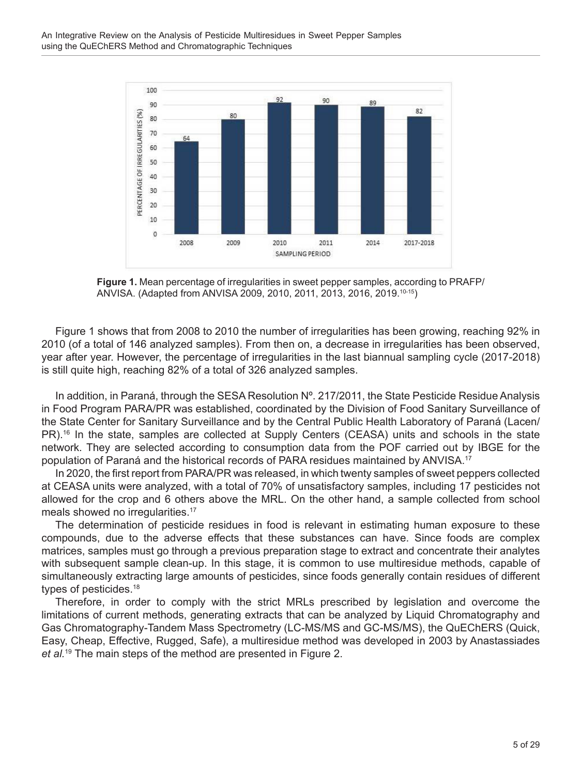

**Figure 1.** Mean percentage of irregularities in sweet pepper samples, according to PRAFP/ ANVISA. (Adapted from ANVISA 2009, 2010, 2011, 2013, 2016, 2019.10-15)

Figure 1 shows that from 2008 to 2010 the number of irregularities has been growing, reaching 92% in 2010 (of a total of 146 analyzed samples). From then on, a decrease in irregularities has been observed, year after year. However, the percentage of irregularities in the last biannual sampling cycle (2017-2018) is still quite high, reaching 82% of a total of 326 analyzed samples.

In addition, in Paraná, through the SESA Resolution Nº. 217/2011, the State Pesticide Residue Analysis in Food Program PARA/PR was established, coordinated by the Division of Food Sanitary Surveillance of the State Center for Sanitary Surveillance and by the Central Public Health Laboratory of Paraná (Lacen/ PR).<sup>16</sup> In the state, samples are collected at Supply Centers (CEASA) units and schools in the state network. They are selected according to consumption data from the POF carried out by IBGE for the population of Paraná and the historical records of PARA residues maintained by ANVISA.<sup>17</sup>

In 2020, the first report from PARA/PR was released, in which twenty samples of sweet peppers collected at CEASA units were analyzed, with a total of 70% of unsatisfactory samples, including 17 pesticides not allowed for the crop and 6 others above the MRL. On the other hand, a sample collected from school meals showed no irregularities.<sup>17</sup>

The determination of pesticide residues in food is relevant in estimating human exposure to these compounds, due to the adverse effects that these substances can have. Since foods are complex matrices, samples must go through a previous preparation stage to extract and concentrate their analytes with subsequent sample clean-up. In this stage, it is common to use multiresidue methods, capable of simultaneously extracting large amounts of pesticides, since foods generally contain residues of different types of pesticides.<sup>18</sup>

Therefore, in order to comply with the strict MRLs prescribed by legislation and overcome the limitations of current methods, generating extracts that can be analyzed by Liquid Chromatography and Gas Chromatography-Tandem Mass Spectrometry (LC-MS/MS and GC-MS/MS), the QuEChERS (Quick, Easy, Cheap, Effective, Rugged, Safe), a multiresidue method was developed in 2003 by Anastassiades *et al.*19 The main steps of the method are presented in Figure 2.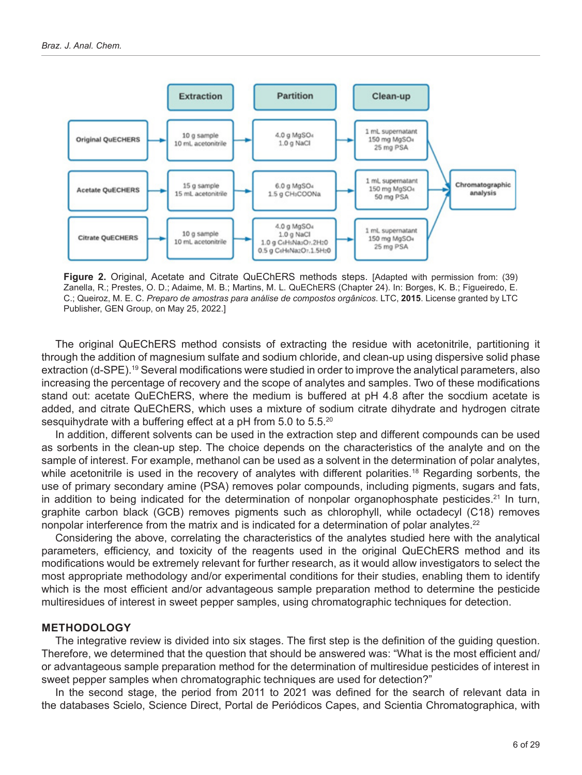

**Figure 2.** Original, Acetate and Citrate QuEChERS methods steps. [Adapted with permission from: (39) Zanella, R.; Prestes, O. D.; Adaime, M. B.; Martins, M. L. QuEChERS (Chapter 24). In: Borges, K. B.; Figueiredo, E. C.; Queiroz, M. E. C. *Preparo de amostras para análise de compostos orgânicos*. LTC, **2015**. License granted by LTC Publisher, GEN Group, on May 25, 2022.]

The original QuEChERS method consists of extracting the residue with acetonitrile, partitioning it through the addition of magnesium sulfate and sodium chloride, and clean-up using dispersive solid phase extraction (d-SPE).19 Several modifications were studied in order to improve the analytical parameters, also increasing the percentage of recovery and the scope of analytes and samples. Two of these modifications stand out: acetate QuEChERS, where the medium is buffered at pH 4.8 after the socdium acetate is added, and citrate QuEChERS, which uses a mixture of sodium citrate dihydrate and hydrogen citrate sesquihydrate with a buffering effect at a pH from 5.0 to 5.5.<sup>20</sup>

In addition, different solvents can be used in the extraction step and different compounds can be used as sorbents in the clean-up step. The choice depends on the characteristics of the analyte and on the sample of interest. For example, methanol can be used as a solvent in the determination of polar analytes, while acetonitrile is used in the recovery of analytes with different polarities.<sup>18</sup> Regarding sorbents, the use of primary secondary amine (PSA) removes polar compounds, including pigments, sugars and fats, in addition to being indicated for the determination of nonpolar organophosphate pesticides.<sup>21</sup> In turn, graphite carbon black (GCB) removes pigments such as chlorophyll, while octadecyl (C18) removes nonpolar interference from the matrix and is indicated for a determination of polar analytes.<sup>22</sup>

Considering the above, correlating the characteristics of the analytes studied here with the analytical parameters, efficiency, and toxicity of the reagents used in the original QuEChERS method and its modifications would be extremely relevant for further research, as it would allow investigators to select the most appropriate methodology and/or experimental conditions for their studies, enabling them to identify which is the most efficient and/or advantageous sample preparation method to determine the pesticide multiresidues of interest in sweet pepper samples, using chromatographic techniques for detection.

#### **METHODOLOGY**

The integrative review is divided into six stages. The first step is the definition of the guiding question. Therefore, we determined that the question that should be answered was: "What is the most efficient and/ or advantageous sample preparation method for the determination of multiresidue pesticides of interest in sweet pepper samples when chromatographic techniques are used for detection?"

In the second stage, the period from 2011 to 2021 was defined for the search of relevant data in the databases Scielo, Science Direct, Portal de Periódicos Capes, and Scientia Chromatographica, with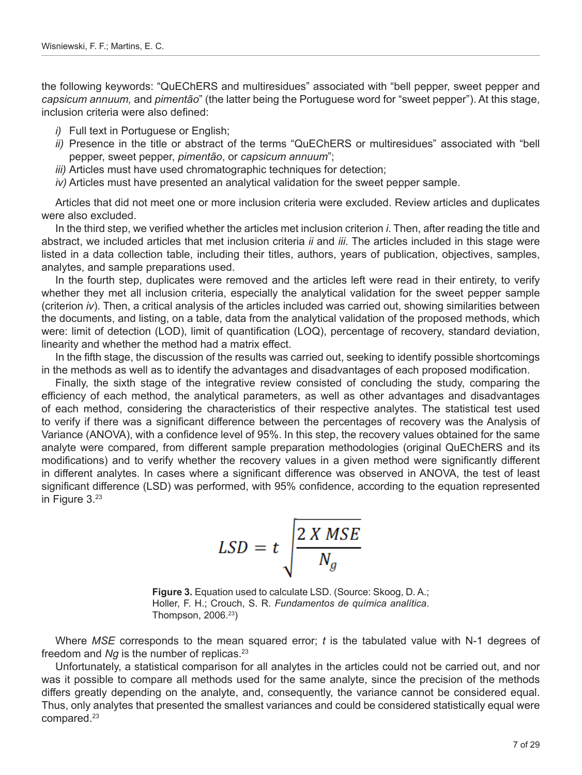the following keywords: "QuEChERS and multiresidues" associated with "bell pepper, sweet pepper and *capsicum annuum,* and *pimentão*" (the latter being the Portuguese word for "sweet pepper"). At this stage, inclusion criteria were also defined:

- *i)* Full text in Portuguese or English;
- *ii)* Presence in the title or abstract of the terms "QuEChERS or multiresidues" associated with "bell pepper, sweet pepper, *pimentão*, or *capsicum annuum*";
- *iii)* Articles must have used chromatographic techniques for detection;
- *iv)* Articles must have presented an analytical validation for the sweet pepper sample.

Articles that did not meet one or more inclusion criteria were excluded. Review articles and duplicates were also excluded.

In the third step, we verified whether the articles met inclusion criterion *i*. Then, after reading the title and abstract, we included articles that met inclusion criteria *ii* and *iii*. The articles included in this stage were listed in a data collection table, including their titles, authors, years of publication, objectives, samples, analytes, and sample preparations used.

In the fourth step, duplicates were removed and the articles left were read in their entirety, to verify whether they met all inclusion criteria, especially the analytical validation for the sweet pepper sample (criterion *iv*). Then, a critical analysis of the articles included was carried out, showing similarities between the documents, and listing, on a table, data from the analytical validation of the proposed methods, which were: limit of detection (LOD), limit of quantification (LOQ), percentage of recovery, standard deviation, linearity and whether the method had a matrix effect.

In the fifth stage, the discussion of the results was carried out, seeking to identify possible shortcomings in the methods as well as to identify the advantages and disadvantages of each proposed modification.

Finally, the sixth stage of the integrative review consisted of concluding the study, comparing the efficiency of each method, the analytical parameters, as well as other advantages and disadvantages of each method, considering the characteristics of their respective analytes. The statistical test used to verify if there was a significant difference between the percentages of recovery was the Analysis of Variance (ANOVA), with a confidence level of 95%. In this step, the recovery values obtained for the same analyte were compared, from different sample preparation methodologies (original QuEChERS and its modifications) and to verify whether the recovery values in a given method were significantly different in different analytes. In cases where a significant difference was observed in ANOVA, the test of least significant difference (LSD) was performed, with 95% confidence, according to the equation represented in Figure 3.23

$$
LSD = t \sqrt{\frac{2 X MSE}{N_g}}
$$

**Figure 3.** Equation used to calculate LSD. (Source: Skoog, D. A.; Holler, F. H.; Crouch, S. R. *Fundamentos de química analítica*. Thompson, 2006.23)

Where *MSE* corresponds to the mean squared error; *t* is the tabulated value with N-1 degrees of freedom and *Ng* is the number of replicas.<sup>23</sup>

Unfortunately, a statistical comparison for all analytes in the articles could not be carried out, and nor was it possible to compare all methods used for the same analyte, since the precision of the methods differs greatly depending on the analyte, and, consequently, the variance cannot be considered equal. Thus, only analytes that presented the smallest variances and could be considered statistically equal were compared.23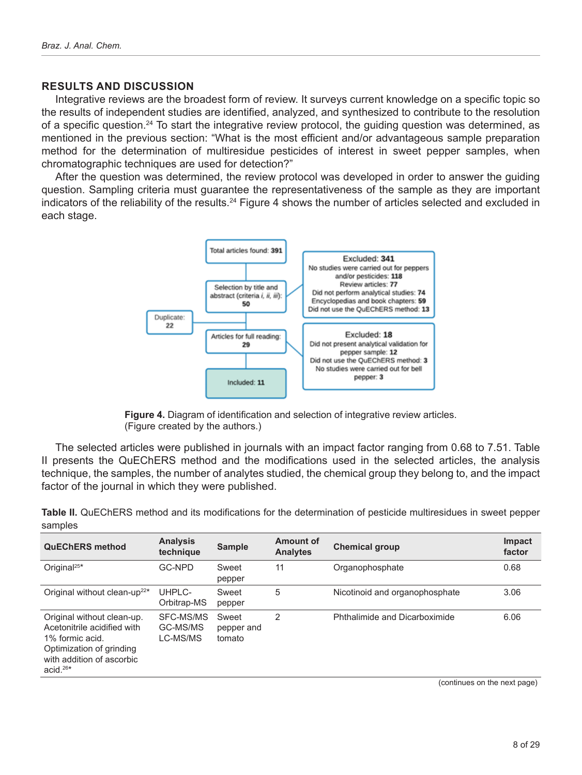#### **RESULTS AND DISCUSSION**

Integrative reviews are the broadest form of review. It surveys current knowledge on a specific topic so the results of independent studies are identified, analyzed, and synthesized to contribute to the resolution of a specific question.24 To start the integrative review protocol, the guiding question was determined, as mentioned in the previous section: "What is the most efficient and/or advantageous sample preparation method for the determination of multiresidue pesticides of interest in sweet pepper samples, when chromatographic techniques are used for detection?"

After the question was determined, the review protocol was developed in order to answer the guiding question. Sampling criteria must guarantee the representativeness of the sample as they are important indicators of the reliability of the results.<sup>24</sup> Figure 4 shows the number of articles selected and excluded in each stage.



**Figure 4.** Diagram of identification and selection of integrative review articles. (Figure created by the authors.)

The selected articles were published in journals with an impact factor ranging from 0.68 to 7.51. Table II presents the QuEChERS method and the modifications used in the selected articles, the analysis technique, the samples, the number of analytes studied, the chemical group they belong to, and the impact factor of the journal in which they were published.

| <b>Analysis</b><br>technique      | <b>Sample</b>                 | Amount of<br><b>Analytes</b> | <b>Chemical group</b>          | <b>Impact</b><br>factor |
|-----------------------------------|-------------------------------|------------------------------|--------------------------------|-------------------------|
| <b>GC-NPD</b>                     | Sweet<br>pepper               | 11                           | Organophosphate                | 0.68                    |
| UHPLC-<br>Orbitrap-MS             | Sweet<br>pepper               | 5                            | Nicotinoid and organophosphate | 3.06                    |
| SFC-MS/MS<br>GC-MS/MS<br>LC-MS/MS | Sweet<br>pepper and<br>tomato | $\mathcal{P}$                | Phthalimide and Dicarboximide  | 6.06                    |
|                                   |                               |                              |                                |                         |

**Table II.** QuEChERS method and its modifications for the determination of pesticide multiresidues in sweet pepper samples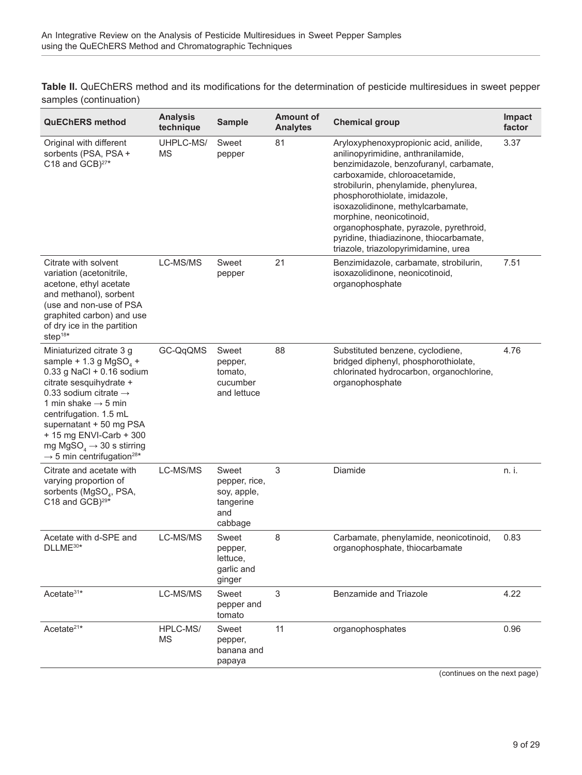**Table II.** QuEChERS method and its modifications for the determination of pesticide multiresidues in sweet pepper samples (continuation)

| <b>QuEChERS</b> method                                                                                                                                                                                                                                                                                                                                                                  | <b>Analysis</b><br>technique | <b>Sample</b>                                                        | <b>Amount of</b><br><b>Analytes</b> | <b>Chemical group</b>                                                                                                                                                                                                                                                                                                                                                                                                            | Impact<br>factor |
|-----------------------------------------------------------------------------------------------------------------------------------------------------------------------------------------------------------------------------------------------------------------------------------------------------------------------------------------------------------------------------------------|------------------------------|----------------------------------------------------------------------|-------------------------------------|----------------------------------------------------------------------------------------------------------------------------------------------------------------------------------------------------------------------------------------------------------------------------------------------------------------------------------------------------------------------------------------------------------------------------------|------------------|
| Original with different<br>sorbents (PSA, PSA +<br>C <sub>18</sub> and GCB) <sup>27*</sup>                                                                                                                                                                                                                                                                                              | UHPLC-MS/<br>ΜS              | Sweet<br>pepper                                                      | 81                                  | Aryloxyphenoxypropionic acid, anilide,<br>anilinopyrimidine, anthranilamide,<br>benzimidazole, benzofuranyl, carbamate,<br>carboxamide, chloroacetamide,<br>strobilurin, phenylamide, phenylurea,<br>phosphorothiolate, imidazole,<br>isoxazolidinone, methylcarbamate,<br>morphine, neonicotinoid,<br>organophosphate, pyrazole, pyrethroid,<br>pyridine, thiadiazinone, thiocarbamate,<br>triazole, triazolopyrimidamine, urea | 3.37             |
| Citrate with solvent<br>variation (acetonitrile,<br>acetone, ethyl acetate<br>and methanol), sorbent<br>(use and non-use of PSA<br>graphited carbon) and use<br>of dry ice in the partition<br>step $18*$                                                                                                                                                                               | LC-MS/MS                     | Sweet<br>pepper                                                      | 21                                  | Benzimidazole, carbamate, strobilurin,<br>isoxazolidinone, neonicotinoid,<br>organophosphate                                                                                                                                                                                                                                                                                                                                     | 7.51             |
| Miniaturized citrate 3 g<br>sample + 1.3 g MgSO <sub>4</sub> +<br>0.33 g NaCl + 0.16 sodium<br>citrate sesquihydrate +<br>0.33 sodium citrate $\rightarrow$<br>1 min shake $\rightarrow$ 5 min<br>centrifugation. 1.5 mL<br>supernatant + 50 mg PSA<br>+ 15 mg ENVI-Carb + 300<br>mg MgSO <sub>4</sub> $\rightarrow$ 30 s stirring<br>$\rightarrow$ 5 min centrifugation <sup>28*</sup> | GC-QqQMS                     | Sweet<br>pepper,<br>tomato,<br>cucumber<br>and lettuce               | 88                                  | Substituted benzene, cyclodiene,<br>bridged diphenyl, phosphorothiolate,<br>chlorinated hydrocarbon, organochlorine,<br>organophosphate                                                                                                                                                                                                                                                                                          | 4.76             |
| Citrate and acetate with<br>varying proportion of<br>sorbents (MgSO <sub>4</sub> , PSA,<br>C18 and GCB) <sup>29*</sup>                                                                                                                                                                                                                                                                  | LC-MS/MS                     | Sweet<br>pepper, rice,<br>soy, apple,<br>tangerine<br>and<br>cabbage | 3                                   | Diamide                                                                                                                                                                                                                                                                                                                                                                                                                          | n. i.            |
| Acetate with d-SPE and<br>DLLME30*                                                                                                                                                                                                                                                                                                                                                      | LC-MS/MS                     | Sweet<br>pepper,<br>lettuce,<br>garlic and<br>ginger                 | 8                                   | Carbamate, phenylamide, neonicotinoid,<br>organophosphate, thiocarbamate                                                                                                                                                                                                                                                                                                                                                         | 0.83             |
| Acetate <sup>31*</sup>                                                                                                                                                                                                                                                                                                                                                                  | LC-MS/MS                     | Sweet<br>pepper and<br>tomato                                        | 3                                   | <b>Benzamide and Triazole</b>                                                                                                                                                                                                                                                                                                                                                                                                    | 4.22             |
| Acetate <sup>21*</sup>                                                                                                                                                                                                                                                                                                                                                                  | HPLC-MS/<br>ΜS               | Sweet<br>pepper,<br>banana and<br>papaya                             | 11                                  | organophosphates                                                                                                                                                                                                                                                                                                                                                                                                                 | 0.96             |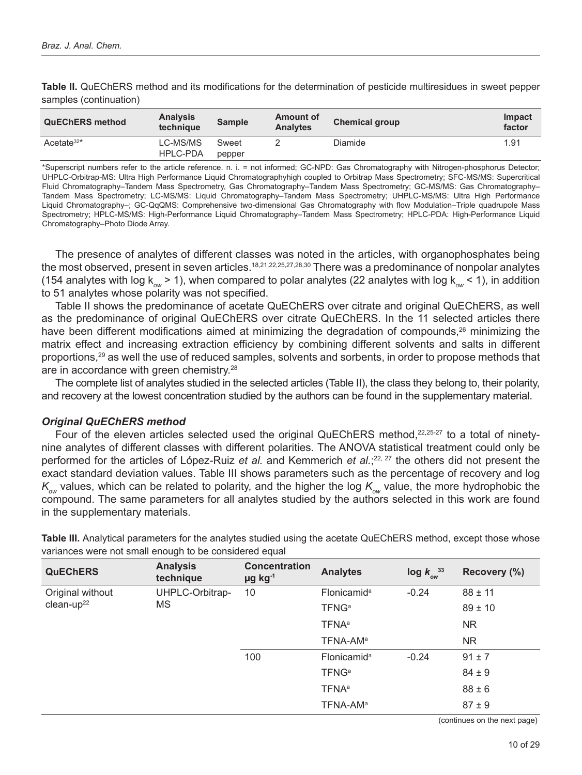| <b>QuEChERS method</b> | <b>Analysis</b><br>technique | <b>Sample</b>   | Amount of<br><b>Analytes</b> | <b>Chemical group</b> | Impact<br>factor |
|------------------------|------------------------------|-----------------|------------------------------|-----------------------|------------------|
| Acetate $32*$          | LC-MS/MS<br>HPLC-PDA         | Sweet<br>pepper |                              | Diamide               | 1.91             |

**Table II.** QuEChERS method and its modifications for the determination of pesticide multiresidues in sweet pepper samples (continuation)

\*Superscript numbers refer to the article reference. n. i. = not informed; GC-NPD: Gas Chromatography with Nitrogen-phosphorus Detector; UHPLC-Orbitrap-MS: Ultra High Performance Liquid Chromatographyhigh coupled to Orbitrap Mass Spectrometry; SFC-MS/MS: Supercritical Fluid Chromatography–Tandem Mass Spectrometry, Gas Chromatography–Tandem Mass Spectrometry; GC-MS/MS: Gas Chromatography– Tandem Mass Spectrometry; LC-MS/MS: Liquid Chromatography–Tandem Mass Spectrometry; UHPLC-MS/MS: Ultra High Performance Liquid Chromatography–; GC-QqQMS: Comprehensive two-dimensional Gas Chromatography with flow Modulation–Triple quadrupole Mass Spectrometry; HPLC-MS/MS: High-Performance Liquid Chromatography–Tandem Mass Spectrometry; HPLC-PDA: High-Performance Liquid Chromatography–Photo Diode Array.

The presence of analytes of different classes was noted in the articles, with organophosphates being the most observed, present in seven articles.<sup>18,21,22,25,27,28,30</sup> There was a predominance of nonpolar analytes (154 analytes with log  $k_{ow} > 1$ ), when compared to polar analytes (22 analytes with log  $k_{ow} < 1$ ), in addition to 51 analytes whose polarity was not specified.

Table II shows the predominance of acetate QuEChERS over citrate and original QuEChERS, as well as the predominance of original QuEChERS over citrate QuEChERS. In the 11 selected articles there have been different modifications aimed at minimizing the degradation of compounds,<sup>26</sup> minimizing the matrix effect and increasing extraction efficiency by combining different solvents and salts in different proportions,29 as well the use of reduced samples, solvents and sorbents, in order to propose methods that are in accordance with green chemistry.28

The complete list of analytes studied in the selected articles (Table II), the class they belong to, their polarity, and recovery at the lowest concentration studied by the authors can be found in the supplementary material.

#### *Original QuEChERS method*

Four of the eleven articles selected used the original QuEChERS method,22,25-27 to a total of ninetynine analytes of different classes with different polarities. The ANOVA statistical treatment could only be performed for the articles of López-Ruiz *et al.* and Kemmerich *et al.*; 22, 27 the others did not present the exact standard deviation values. Table III shows parameters such as the percentage of recovery and log  $K_{\infty}$  values, which can be related to polarity, and the higher the log  $K_{\infty}$  value, the more hydrophobic the compound. The same parameters for all analytes studied by the authors selected in this work are found in the supplementary materials.

| <b>QuEChERS</b>  | <b>Analysis</b><br>technique | <b>Concentration</b><br>$\mu$ g kg <sup>-1</sup> | <b>Analytes</b>          | $\log k_{ow}^{33}$ | Recovery (%) |
|------------------|------------------------------|--------------------------------------------------|--------------------------|--------------------|--------------|
| Original without | UHPLC-Orbitrap-              | 10                                               | Flonicamid <sup>a</sup>  | $-0.24$            | $88 \pm 11$  |
| $clean-up22$     | <b>MS</b>                    |                                                  | <b>TFNG</b> <sup>a</sup> |                    | $89 \pm 10$  |
|                  |                              |                                                  | <b>TFNA</b> <sup>a</sup> |                    | <b>NR</b>    |
|                  |                              |                                                  | TFNA-AM <sup>a</sup>     |                    | <b>NR</b>    |
|                  |                              | 100                                              | Flonicamid <sup>a</sup>  | $-0.24$            | $91 \pm 7$   |
|                  |                              |                                                  | <b>TFNG</b> <sup>a</sup> |                    | $84 \pm 9$   |
|                  |                              |                                                  | <b>TFNA</b> <sup>a</sup> |                    | $88 \pm 6$   |
|                  |                              |                                                  | TFNA-AM <sup>a</sup>     |                    | $87 + 9$     |

**Table III.** Analytical parameters for the analytes studied using the acetate QuEChERS method, except those whose variances were not small enough to be considered equal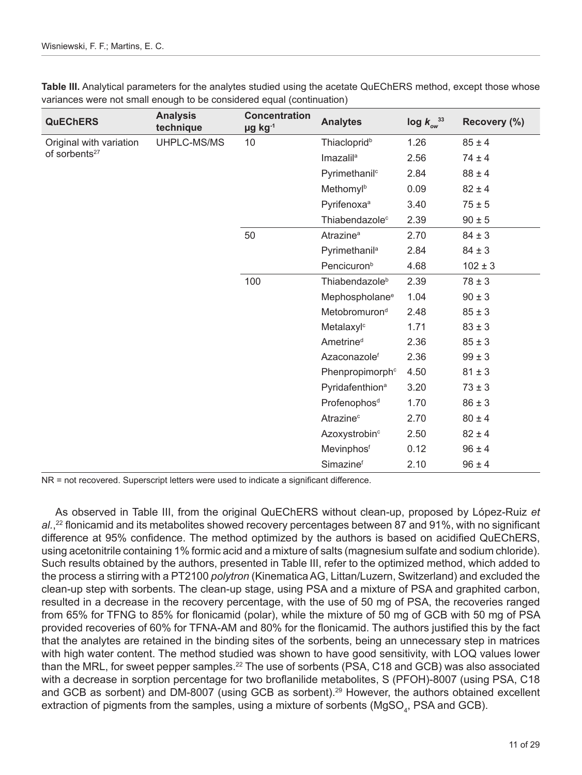| <b>QuEChERS</b>           | <b>Analysis</b><br>technique | <b>Concentration</b><br>$\mu$ g kg $^{-1}$ | <b>Analytes</b>             | $\log k_{\text{ow}}^{33}$ | Recovery (%) |
|---------------------------|------------------------------|--------------------------------------------|-----------------------------|---------------------------|--------------|
| Original with variation   | UHPLC-MS/MS                  | 10                                         | Thiacloprid <sup>b</sup>    | 1.26                      | $85 \pm 4$   |
| of sorbents <sup>27</sup> |                              |                                            | Imazalil <sup>a</sup>       | 2.56                      | $74 \pm 4$   |
|                           |                              |                                            | Pyrimethanil <sup>c</sup>   | 2.84                      | $88 \pm 4$   |
|                           |                              |                                            | Methomylb                   | 0.09                      | $82 \pm 4$   |
|                           |                              |                                            | Pyrifenoxa <sup>a</sup>     | 3.40                      | $75 \pm 5$   |
|                           |                              |                                            | Thiabendazole <sup>c</sup>  | 2.39                      | $90 \pm 5$   |
|                           |                              | 50                                         | Atrazine <sup>a</sup>       | 2.70                      | $84 \pm 3$   |
|                           |                              |                                            | Pyrimethanil <sup>a</sup>   | 2.84                      | $84 \pm 3$   |
|                           |                              |                                            | Pencicuron <sup>b</sup>     | 4.68                      | $102 \pm 3$  |
|                           |                              | 100                                        | Thiabendazole <sup>b</sup>  | 2.39                      | $78 \pm 3$   |
|                           |                              |                                            | Mephospholane <sup>e</sup>  | 1.04                      | $90 \pm 3$   |
|                           |                              |                                            | Metobromuron <sup>d</sup>   | 2.48                      | $85 \pm 3$   |
|                           |                              |                                            | Metalaxyl <sup>c</sup>      | 1.71                      | $83 \pm 3$   |
|                           |                              |                                            | Ametrine <sup>d</sup>       | 2.36                      | $85 \pm 3$   |
|                           |                              |                                            | Azaconazolef                | 2.36                      | $99 \pm 3$   |
|                           |                              |                                            | Phenpropimorph <sup>c</sup> | 4.50                      | $81 \pm 3$   |
|                           |                              |                                            | Pyridafenthion <sup>a</sup> | 3.20                      | $73 \pm 3$   |
|                           |                              |                                            | Profenophos <sup>d</sup>    | 1.70                      | $86 \pm 3$   |
|                           |                              |                                            | Atrazine <sup>c</sup>       | 2.70                      | $80 \pm 4$   |
|                           |                              |                                            | Azoxystrobin <sup>c</sup>   | 2.50                      | $82 \pm 4$   |
|                           |                              |                                            | Mevinphosf                  | 0.12                      | $96 \pm 4$   |
|                           |                              |                                            | Simazinef                   | 2.10                      | $96 \pm 4$   |

**Table III.** Analytical parameters for the analytes studied using the acetate QuEChERS method, except those whose variances were not small enough to be considered equal (continuation)

NR = not recovered. Superscript letters were used to indicate a significant difference.

As observed in Table III, from the original QuEChERS without clean-up, proposed by López-Ruiz *et al.*, <sup>22</sup> flonicamid and its metabolites showed recovery percentages between 87 and 91%, with no significant difference at 95% confidence. The method optimized by the authors is based on acidified QuEChERS, using acetonitrile containing 1% formic acid and a mixture of salts (magnesium sulfate and sodium chloride). Such results obtained by the authors, presented in Table III, refer to the optimized method, which added to the process a stirring with a PT2100 *polytron* (Kinematica AG, Littan/Luzern, Switzerland) and excluded the clean-up step with sorbents. The clean-up stage, using PSA and a mixture of PSA and graphited carbon, resulted in a decrease in the recovery percentage, with the use of 50 mg of PSA, the recoveries ranged from 65% for TFNG to 85% for flonicamid (polar), while the mixture of 50 mg of GCB with 50 mg of PSA provided recoveries of 60% for TFNA-AM and 80% for the flonicamid. The authors justified this by the fact that the analytes are retained in the binding sites of the sorbents, being an unnecessary step in matrices with high water content. The method studied was shown to have good sensitivity, with LOQ values lower than the MRL, for sweet pepper samples.22 The use of sorbents (PSA, C18 and GCB) was also associated with a decrease in sorption percentage for two broflanilide metabolites, S (PFOH)-8007 (using PSA, C18 and GCB as sorbent) and DM-8007 (using GCB as sorbent).<sup>29</sup> However, the authors obtained excellent extraction of pigments from the samples, using a mixture of sorbents (MgSO $_{\scriptscriptstyle{4}}$ , PSA and GCB).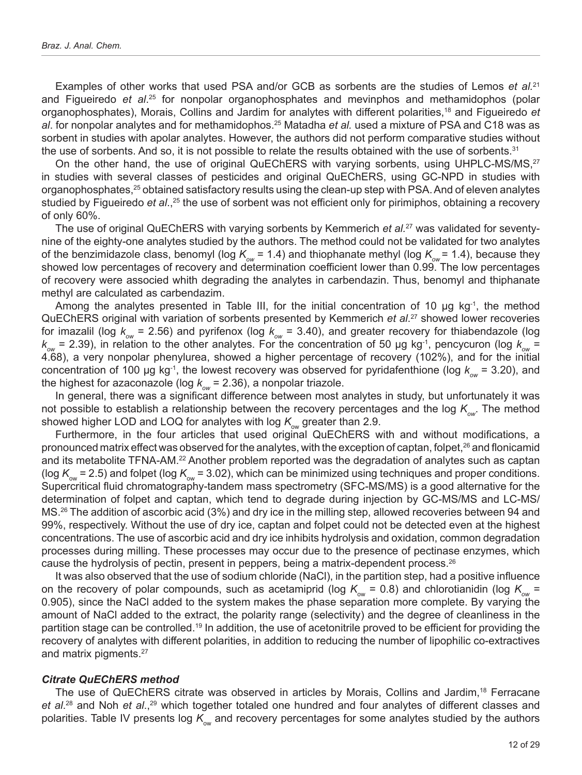Examples of other works that used PSA and/or GCB as sorbents are the studies of Lemos *et al.*<sup>21</sup> and Figueiredo *et al.<sup>25</sup>* for nonpolar organophosphates and mevinphos and methamidophos (polar organophosphates), Morais, Collins and Jardim for analytes with different polarities,18 and Figueiredo *et al*. for nonpolar analytes and for methamidophos.25 Matadha *et al.* used a mixture of PSA and C18 was as sorbent in studies with apolar analytes. However, the authors did not perform comparative studies without the use of sorbents. And so, it is not possible to relate the results obtained with the use of sorbents.<sup>31</sup>

On the other hand, the use of original QuEChERS with varying sorbents, using UHPLC-MS/MS,<sup>27</sup> in studies with several classes of pesticides and original QuEChERS, using GC-NPD in studies with organophosphates,25 obtained satisfactory results using the clean-up step with PSA. And of eleven analytes studied by Figueiredo *et al.*,<sup>25</sup> the use of sorbent was not efficient only for pirimiphos, obtaining a recovery of only 60%.

The use of original QuEChERS with varying sorbents by Kemmerich *et al.*27 was validated for seventynine of the eighty-one analytes studied by the authors. The method could not be validated for two analytes of the benzimidazole class, benomyl (log  $K_{\text{ow}} = 1.4$ ) and thiophanate methyl (log  $K_{\text{ow}} = 1.4$ ), because they showed low percentages of recovery and determination coefficient lower than 0.99. The low percentages of recovery were associed whith degrading the analytes in carbendazin. Thus, benomyl and thiphanate methyl are calculated as carbendazim.

Among the analytes presented in Table III, for the initial concentration of 10 µg kg-1, the method QuEChERS original with variation of sorbents presented by Kemmerich *et al*. 27 showed lower recoveries for imazalil (log  $k_{ow}$  = 2.56) and pyrifenox (log  $k_{ow}$  = 3.40), and greater recovery for thiabendazole (log  $k_{ow}$  = 2.39), in relation to the other analytes. For the concentration of 50 µg kg<sup>-1</sup>, pencycuron (log  $k_{ow}$  = 4.68), a very nonpolar phenylurea, showed a higher percentage of recovery (102%), and for the initial concentration of 100 µg kg<sup>-1</sup>, the lowest recovery was observed for pyridafenthione (log  $k_{ow}$  = 3.20), and the highest for azaconazole (log  $k_{ow}$  = 2.36), a nonpolar triazole.

In general, there was a significant difference between most analytes in study, but unfortunately it was not possible to establish a relationship between the recovery percentages and the log  $K_{\text{out}}$ . The method showed higher LOD and LOQ for analytes with log  $K_{\text{av}}$  greater than 2.9.

Furthermore, in the four articles that used original QuEChERS with and without modifications, a pronounced matrix effect was observed for the analytes, with the exception of captan, folpet,<sup>26</sup> and flonicamid and its metabolite TFNA-AM.<sup>22</sup> Another problem reported was the degradation of analytes such as captan (log  $K_{\text{ow}}$  = 2.5) and folpet (log  $K_{\text{ow}}$  = 3.02), which can be minimized using techniques and proper conditions. Supercritical fluid chromatography-tandem mass spectrometry (SFC-MS/MS) is a good alternative for the determination of folpet and captan, which tend to degrade during injection by GC-MS/MS and LC-MS/ MS.26 The addition of ascorbic acid (3%) and dry ice in the milling step, allowed recoveries between 94 and 99%, respectively. Without the use of dry ice, captan and folpet could not be detected even at the highest concentrations. The use of ascorbic acid and dry ice inhibits hydrolysis and oxidation, common degradation processes during milling. These processes may occur due to the presence of pectinase enzymes, which cause the hydrolysis of pectin, present in peppers, being a matrix-dependent process.<sup>26</sup>

It was also observed that the use of sodium chloride (NaCl), in the partition step, had a positive influence on the recovery of polar compounds, such as acetamiprid (log  $K_{\text{ow}} = 0.8$ ) and chlorotianidin (log  $K_{\text{ow}} =$ 0.905), since the NaCl added to the system makes the phase separation more complete. By varying the amount of NaCl added to the extract, the polarity range (selectivity) and the degree of cleanliness in the partition stage can be controlled.<sup>19</sup> In addition, the use of acetonitrile proved to be efficient for providing the recovery of analytes with different polarities, in addition to reducing the number of lipophilic co-extractives and matrix pigments.27

#### *Citrate QuEChERS method*

The use of QuEChERS citrate was observed in articles by Morais, Collins and Jardim,<sup>18</sup> Ferracane e*t al.*<sup>28</sup> and Noh *et al.*,<sup>29</sup> which together totaled one hundred and four analytes of different classes and polarities. Table IV presents log K<sub>ow</sub> and recovery percentages for some analytes studied by the authors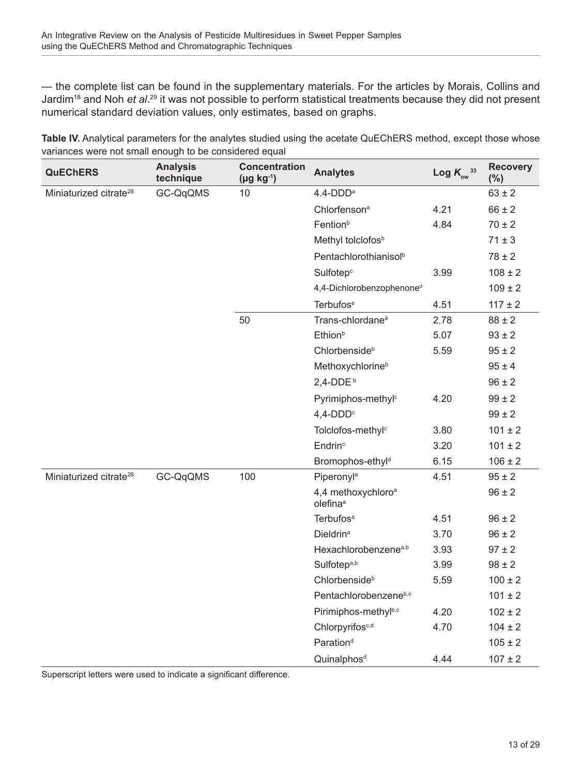— the complete list can be found in the supplementary materials. For the articles by Morais, Collins and Jardim<sup>18</sup> and Noh *et al.<sup>29</sup>* it was not possible to perform statistical treatments because they did not present numerical standard deviation values, only estimates, based on graphs.

**Table IV.** Analytical parameters for the analytes studied using the acetate QuEChERS method, except those whose variances were not small enough to be considered equal

| <b>QuEChERS</b>                    | <b>Analysis</b><br>technique | <b>Concentration</b><br>$(\mu g kg^{-1})$ | <b>Analytes</b>                                        | Log $K_{_{\rm{ow}}}$ <sup>33</sup> | <b>Recovery</b><br>$(\% )$ |
|------------------------------------|------------------------------|-------------------------------------------|--------------------------------------------------------|------------------------------------|----------------------------|
| Miniaturized citrate <sup>28</sup> | GC-QqQMS                     | 10                                        | $4.4$ -DDD <sup>a</sup>                                |                                    | $63 \pm 2$                 |
|                                    |                              |                                           | Chlorfenson <sup>a</sup>                               | 4.21                               | $66 \pm 2$                 |
|                                    |                              |                                           | Fention <sup>b</sup>                                   | 4.84                               | $70 \pm 2$                 |
|                                    |                              |                                           | Methyl tolclofos <sup>b</sup>                          |                                    | $71 \pm 3$                 |
|                                    |                              |                                           | Pentachlorothianisol <sup>b</sup>                      |                                    | $78 \pm 2$                 |
|                                    |                              |                                           | Sulfotep <sup>c</sup>                                  | 3.99                               | $108 \pm 2$                |
|                                    |                              |                                           | 4,4-Dichlorobenzophenone <sup>d</sup>                  |                                    | $109 \pm 2$                |
|                                    |                              |                                           | <b>Terbufos</b> <sup>e</sup>                           | 4.51                               | $117 \pm 2$                |
|                                    |                              | 50                                        | Trans-chlordane <sup>a</sup>                           | 2.78                               | $88 \pm 2$                 |
|                                    |                              |                                           | Ethion <sup>b</sup>                                    | 5.07                               | $93 \pm 2$                 |
|                                    |                              |                                           | Chlorbenside <sup>b</sup>                              | 5.59                               | $95 \pm 2$                 |
|                                    |                              |                                           | Methoxychlorine <sup>b</sup>                           |                                    | $95 \pm 4$                 |
|                                    |                              |                                           | $2,4$ -DDE <sup>b</sup>                                |                                    | $96 \pm 2$                 |
|                                    |                              |                                           | Pyrimiphos-methyl <sup>c</sup>                         | 4.20                               | $99 \pm 2$                 |
|                                    |                              |                                           | $4,4$ -DDD <sup>c</sup>                                |                                    | $99 \pm 2$                 |
|                                    |                              |                                           | Tolclofos-methyl <sup>c</sup>                          | 3.80                               | $101 \pm 2$                |
|                                    |                              |                                           | Endrin <sup>c</sup>                                    | 3.20                               | $101 \pm 2$                |
|                                    |                              |                                           | Bromophos-ethyl <sup>d</sup>                           | 6.15                               | $106 \pm 2$                |
| Miniaturized citrate <sup>28</sup> | GC-QqQMS                     | 100                                       | Piperonyl <sup>a</sup>                                 | 4.51                               | $95 \pm 2$                 |
|                                    |                              |                                           | 4,4 methoxychloro <sup>a</sup><br>olefina <sup>a</sup> |                                    | $96 \pm 2$                 |
|                                    |                              |                                           | Terbufos <sup>a</sup>                                  | 4.51                               | $96 \pm 2$                 |
|                                    |                              |                                           | <b>Dieldrina</b>                                       | 3.70                               | $96 \pm 2$                 |
|                                    |                              |                                           | Hexachlorobenzene <sup>a,b</sup>                       | 3.93                               | $97 \pm 2$                 |
|                                    |                              |                                           | Sulfotep <sup>a,b</sup>                                | 3.99                               | $98 \pm 2$                 |
|                                    |                              |                                           | Chlorbenside <sup>b</sup>                              | 5.59                               | $100 \pm 2$                |
|                                    |                              |                                           | Pentachlorobenzeneb,c                                  |                                    | $101 \pm 2$                |
|                                    |                              |                                           | Pirimiphos-methylb,c                                   | 4.20                               | $102 \pm 2$                |
|                                    |                              |                                           | Chlorpyrifos <sup>c,d</sup>                            | 4.70                               | $104 \pm 2$                |
|                                    |                              |                                           | Paration <sup>d</sup>                                  |                                    | $105 \pm 2$                |
|                                    |                              |                                           | Quinalphos <sup>d</sup>                                | 4.44                               | $107 \pm 2$                |

Superscript letters were used to indicate a significant difference.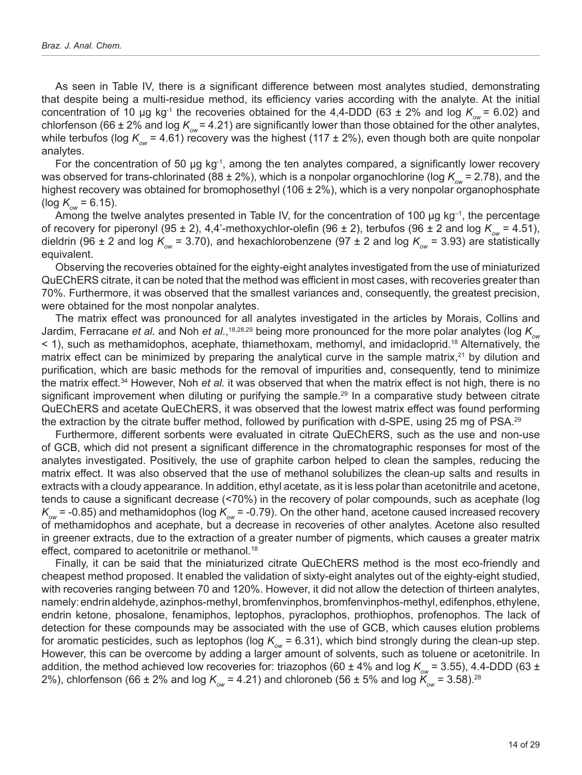As seen in Table IV, there is a significant difference between most analytes studied, demonstrating that despite being a multi-residue method, its efficiency varies according with the analyte. At the initial concentration of 10 µg kg<sup>-1</sup> the recoveries obtained for the 4,4-DDD (63 ± 2% and log  $K_{\alpha\mu}$  = 6.02) and chlorfenson (66 ± 2% and log  $K_{ow}$  = 4.21) are significantly lower than those obtained for the other analytes, while terbufos (log  $K_{\text{ow}}$  = 4.61) recovery was the highest (117 ± 2%), even though both are quite nonpolar analytes.

For the concentration of 50 µg kg<sup>-1</sup>, among the ten analytes compared, a significantly lower recovery was observed for trans-chlorinated (88 ± 2%), which is a nonpolar organochlorine (log  $K_{\text{ow}}$  = 2.78), and the highest recovery was obtained for bromophosethyl (106  $\pm$  2%), which is a very nonpolar organophosphate  $(log K_{\text{ow}} = 6.15)$ .

Among the twelve analytes presented in Table IV, for the concentration of 100  $\mu$ g kg<sup>-1</sup>, the percentage of recovery for piperonyl (95 ± 2), 4,4'-methoxychlor-olefin (96 ± 2), terbufos (96 ± 2 and log  $K_{\text{ow}} = 4.51$ ), dieldrin (96 ± 2 and log  $K_{ow}$  = 3.70), and hexachlorobenzene (97 ± 2 and log  $K_{ow}$  = 3.93) are statistically equivalent.

Observing the recoveries obtained for the eighty-eight analytes investigated from the use of miniaturized QuEChERS citrate, it can be noted that the method was efficient in most cases, with recoveries greater than 70%. Furthermore, it was observed that the smallest variances and, consequently, the greatest precision, were obtained for the most nonpolar analytes.

The matrix effect was pronounced for all analytes investigated in the articles by Morais, Collins and Jardim, Ferracane *et al.* and Noh *et al.*,<sup>18,28,29</sup> being more pronounced for the more polar analytes (log  $K_{ow}$ < 1), such as methamidophos, acephate, thiamethoxam, methomyl, and imidacloprid.18 Alternatively, the matrix effect can be minimized by preparing the analytical curve in the sample matrix, $21$  by dilution and purification, which are basic methods for the removal of impurities and, consequently, tend to minimize the matrix effect.<sup>34</sup> However, Noh *et al.* it was observed that when the matrix effect is not high, there is no significant improvement when diluting or purifying the sample.<sup>29</sup> In a comparative study between citrate QuEChERS and acetate QuEChERS, it was observed that the lowest matrix effect was found performing the extraction by the citrate buffer method, followed by purification with d-SPE, using 25 mg of PSA.<sup>29</sup>

Furthermore, different sorbents were evaluated in citrate QuEChERS, such as the use and non-use of GCB, which did not present a significant difference in the chromatographic responses for most of the analytes investigated. Positively, the use of graphite carbon helped to clean the samples, reducing the matrix effect. It was also observed that the use of methanol solubilizes the clean-up salts and results in extracts with a cloudy appearance. In addition, ethyl acetate, as it is less polar than acetonitrile and acetone, tends to cause a significant decrease (<70%) in the recovery of polar compounds, such as acephate (log  $\mathcal{K}_{_{\!\scriptscriptstyle{\rm GW}}}=$  -0.85) and methamidophos (log  $\mathcal{K}_{_{\!\scriptscriptstyle{\rm GW}}}=$  -0.79). On the other hand, acetone caused increased recovery of methamidophos and acephate, but a decrease in recoveries of other analytes. Acetone also resulted in greener extracts, due to the extraction of a greater number of pigments, which causes a greater matrix effect, compared to acetonitrile or methanol.<sup>18</sup>

Finally, it can be said that the miniaturized citrate QuEChERS method is the most eco-friendly and cheapest method proposed. It enabled the validation of sixty-eight analytes out of the eighty-eight studied, with recoveries ranging between 70 and 120%. However, it did not allow the detection of thirteen analytes, namely: endrin aldehyde, azinphos-methyl, bromfenvinphos, bromfenvinphos-methyl, edifenphos, ethylene, endrin ketone, phosalone, fenamiphos, leptophos, pyraclophos, prothiophos, profenophos. The lack of detection for these compounds may be associated with the use of GCB, which causes elution problems for aromatic pesticides, such as leptophos (log  $K_{\text{ow}} = 6.31$ ), which bind strongly during the clean-up step. However, this can be overcome by adding a larger amount of solvents, such as toluene or acetonitrile. In addition, the method achieved low recoveries for: triazophos (60 ± 4% and log  $K_{ow}$  = 3.55), 4.4-DDD (63 ± 2%), chlorfenson (66 ± 2% and log  $K_{ow}$  = 4.21) and chloroneb (56 ± 5% and log  $K_{ow}$  = 3.58).<sup>28</sup>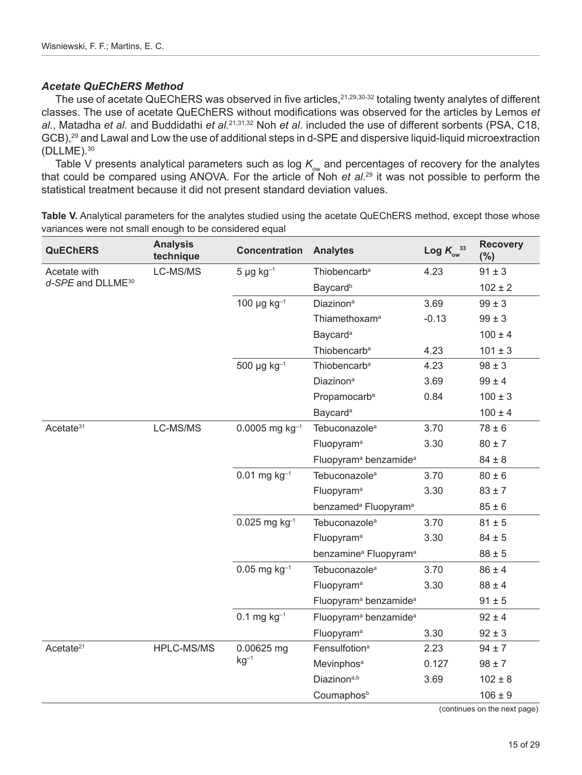#### *Acetate QuEChERS Method*

The use of acetate QuEChERS was observed in five articles, <sup>21,29,30-32</sup> totaling twenty analytes of different classes. The use of acetate QuEChERS without modifications was observed for the articles by Lemos *et al.*, Matadha *et al.* and Buddidathi *et al.*21,31,32 Noh *et al.* included the use of different sorbents (PSA, C18, GCB),<sup>29</sup> and Lawal and Low the use of additional steps in d-SPE and dispersive liquid-liquid microextraction (DLLME).30

Table V presents analytical parameters such as log  $K_{\text{ow}}$  and percentages of recovery for the analytes that could be compared using ANOVA. For the article of Noh *et al*. 29 it was not possible to perform the statistical treatment because it did not present standard deviation values.

**Table V.** Analytical parameters for the analytes studied using the acetate QuEChERS method, except those whose variances were not small enough to be considered equal

| <b>QuEChERS</b>               | <b>Analysis</b><br>technique | <b>Concentration</b>         | <b>Analytes</b>                               | Log $K_{\text{ow}}^{33}$ | <b>Recovery</b><br>$(\%)$       |
|-------------------------------|------------------------------|------------------------------|-----------------------------------------------|--------------------------|---------------------------------|
| Acetate with                  | LC-MS/MS                     | $5 \mu g kg^{-1}$            | Thiobencarb <sup>a</sup>                      | 4.23                     | $91 \pm 3$                      |
| d-SPE and DLLME <sup>30</sup> |                              |                              | Baycard <sup>b</sup>                          |                          | $102 \pm 2$                     |
|                               |                              | 100 $\mu$ g kg <sup>-1</sup> | Diazinon <sup>a</sup>                         | 3.69                     | $99 \pm 3$                      |
|                               |                              |                              | Thiamethoxam <sup>a</sup>                     | $-0.13$                  | $99 \pm 3$                      |
|                               |                              |                              | Baycard <sup>a</sup>                          |                          | $100 \pm 4$                     |
|                               |                              |                              | Thiobencarb <sup>a</sup>                      | 4.23                     | $101 \pm 3$                     |
|                               |                              | $500 \mu g kg^{-1}$          | Thiobencarb <sup>a</sup>                      | 4.23                     | $98 \pm 3$                      |
|                               |                              |                              | Diazinon <sup>a</sup>                         | 3.69                     | $99 \pm 4$                      |
|                               |                              |                              | Propamocarb <sup>a</sup>                      | 0.84                     | $100 \pm 3$                     |
|                               |                              |                              | Baycard <sup>a</sup>                          |                          | $100 \pm 4$                     |
| Acetate <sup>31</sup>         | LC-MS/MS                     | $0.0005$ mg kg <sup>-1</sup> | Tebuconazole <sup>a</sup>                     | 3.70                     | $78 \pm 6$                      |
|                               |                              |                              | Fluopyram <sup>a</sup>                        | 3.30                     | $80 \pm 7$                      |
|                               |                              |                              | Fluopyram <sup>a</sup> benzamide <sup>a</sup> |                          | $84 \pm 8$                      |
|                               |                              | $0.01$ mg kg <sup>-1</sup>   | Tebuconazole <sup>a</sup>                     | 3.70                     | $80 \pm 6$                      |
|                               |                              |                              | Fluopyram <sup>a</sup>                        | 3.30                     | $83 \pm 7$                      |
|                               |                              |                              | benzamed <sup>a</sup> Fluopyram <sup>a</sup>  |                          | $85 \pm 6$                      |
|                               |                              | $0.025$ mg kg <sup>-1</sup>  | Tebuconazole <sup>a</sup>                     | 3.70                     | $81 \pm 5$                      |
|                               |                              |                              | Fluopyram <sup>a</sup>                        | 3.30                     | $84 \pm 5$                      |
|                               |                              |                              | benzamine <sup>a</sup> Fluopyram <sup>a</sup> |                          | $88 \pm 5$                      |
|                               |                              | $0.05$ mg kg <sup>-1</sup>   | Tebuconazole <sup>a</sup>                     | 3.70                     | $86 \pm 4$                      |
|                               |                              |                              | Fluopyram <sup>a</sup>                        | 3.30                     | $88 \pm 4$                      |
|                               |                              |                              | Fluopyram <sup>a</sup> benzamide <sup>a</sup> |                          | $91 \pm 5$                      |
|                               |                              | $0.1$ mg $kg^{-1}$           | Fluopyram <sup>a</sup> benzamide <sup>a</sup> |                          | $92 \pm 4$                      |
|                               |                              |                              | Fluopyram <sup>a</sup>                        | 3.30                     | $92 \pm 3$                      |
| Acetate <sup>21</sup>         | HPLC-MS/MS                   | 0.00625 mg                   | Fensulfotion <sup>a</sup>                     | 2.23                     | $94 \pm 7$                      |
|                               |                              | $kg-1$                       | Mevinphos <sup>a</sup>                        | 0.127                    | $98 \pm 7$                      |
|                               |                              |                              | Diazinon <sup>a,b</sup>                       | 3.69                     | $102 \pm 8$                     |
|                               |                              |                              | Coumaphos <sup>b</sup>                        |                          | $106 \pm 9$                     |
|                               |                              |                              |                                               |                          | $($ gantinuga an tha navt nagal |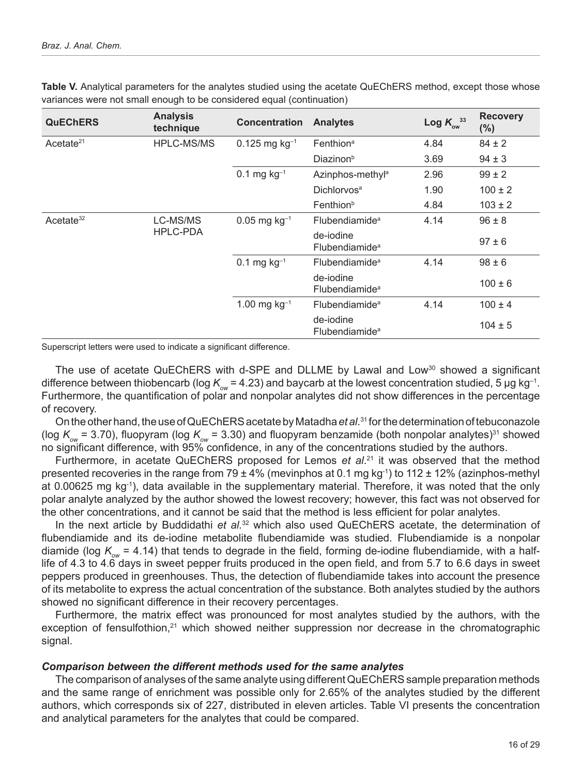| <b>QuEChERS</b>       | <b>Analysis</b><br>technique | <b>Concentration</b>        | <b>Analytes</b>                         | Log $K_{\text{ow}}^{33}$ | <b>Recovery</b><br>(%) |
|-----------------------|------------------------------|-----------------------------|-----------------------------------------|--------------------------|------------------------|
| Acetate <sup>21</sup> | <b>HPLC-MS/MS</b>            | $0.125$ mg kg <sup>-1</sup> | Fenthion <sup>a</sup>                   | 4.84                     | $84 \pm 2$             |
|                       |                              |                             | Diazinon <sup>b</sup>                   | 3.69                     | $94 \pm 3$             |
|                       |                              | $0.1$ mg kg <sup>-1</sup>   | Azinphos-methyl <sup>a</sup>            | 2.96                     | $99 \pm 2$             |
|                       |                              |                             | Dichlorvos <sup>a</sup>                 | 1.90                     | $100 \pm 2$            |
|                       |                              |                             | Fenthion <sup>b</sup>                   | 4.84                     | $103 \pm 2$            |
| Acetate <sup>32</sup> | LC-MS/MS<br>HPLC-PDA         | $0.05$ mg kg <sup>-1</sup>  | Flubendiamide <sup>a</sup>              | 4.14                     | $96 \pm 8$             |
|                       |                              |                             | de-iodine<br>Flubendiamide <sup>a</sup> |                          | $97 \pm 6$             |
|                       |                              | $0.1$ mg kg <sup>-1</sup>   | Flubendiamide <sup>a</sup>              | 4.14                     | $98 \pm 6$             |
|                       |                              |                             | de-jodine<br>Flubendiamide <sup>a</sup> |                          | $100 \pm 6$            |
|                       |                              | 1.00 mg $kg^{-1}$           | <b>Flubendiamide</b> <sup>a</sup>       | 4.14                     | $100 \pm 4$            |
|                       |                              |                             | de-iodine<br>Flubendiamide <sup>a</sup> |                          | $104 \pm 5$            |

**Table V.** Analytical parameters for the analytes studied using the acetate QuEChERS method, except those whose variances were not small enough to be considered equal (continuation)

Superscript letters were used to indicate a significant difference.

The use of acetate QuEChERS with d-SPE and DLLME by Lawal and Low<sup>30</sup> showed a significant difference between thiobencarb (log  $K_{ow}$  = 4.23) and baycarb at the lowest concentration studied, 5 µg kg<sup>-1</sup>. Furthermore, the quantification of polar and nonpolar analytes did not show differences in the percentage of recovery.

On the other hand, the use of QuEChERS acetate by Matadha *et al*. 31 for the determination of tebuconazole (log  $K_{\text{ow}}$  = 3.70), fluopyram (log  $K_{\text{ow}}$  = 3.30) and fluopyram benzamide (both nonpolar analytes)<sup>31</sup> showed no significant difference, with 95% confidence, in any of the concentrations studied by the authors.

Furthermore, in acetate QuEChERS proposed for Lemos *et al*. 21 it was observed that the method presented recoveries in the range from 79  $\pm$  4% (mevinphos at 0.1 mg kg<sup>-1</sup>) to 112  $\pm$  12% (azinphos-methyl at 0.00625 mg kg-1), data available in the supplementary material. Therefore, it was noted that the only polar analyte analyzed by the author showed the lowest recovery; however, this fact was not observed for the other concentrations, and it cannot be said that the method is less efficient for polar analytes.

In the next article by Buddidathi *et al.*32 which also used QuEChERS acetate, the determination of flubendiamide and its de-iodine metabolite flubendiamide was studied. Flubendiamide is a nonpolar diamide (log  $K_{\text{out}}$  = 4.14) that tends to degrade in the field, forming de-iodine flubendiamide, with a halflife of 4.3 to 4.6 days in sweet pepper fruits produced in the open field, and from 5.7 to 6.6 days in sweet peppers produced in greenhouses. Thus, the detection of flubendiamide takes into account the presence of its metabolite to express the actual concentration of the substance. Both analytes studied by the authors showed no significant difference in their recovery percentages.

Furthermore, the matrix effect was pronounced for most analytes studied by the authors, with the exception of fensulfothion,<sup>21</sup> which showed neither suppression nor decrease in the chromatographic signal.

#### *Comparison between the different methods used for the same analytes*

The comparison of analyses of the same analyte using different QuEChERS sample preparation methods and the same range of enrichment was possible only for 2.65% of the analytes studied by the different authors, which corresponds six of 227, distributed in eleven articles. Table VI presents the concentration and analytical parameters for the analytes that could be compared.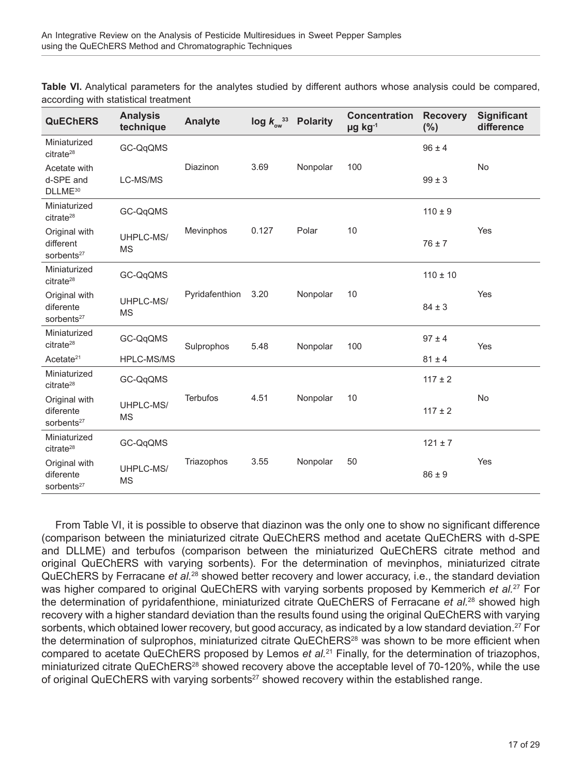**Table VI.** Analytical parameters for the analytes studied by different authors whose analysis could be compared, according with statistical treatment

| <b>QuEChERS</b>                                      | <b>Analysis</b><br>technique | <b>Analyte</b>   | $\log k_{\text{ow}}^{33}$ | <b>Polarity</b> | <b>Concentration</b><br>µg kg-1 | <b>Recovery</b><br>(%) | <b>Significant</b><br>difference |
|------------------------------------------------------|------------------------------|------------------|---------------------------|-----------------|---------------------------------|------------------------|----------------------------------|
| Miniaturized<br>citrate <sup>28</sup>                | GC-QqQMS                     |                  |                           |                 |                                 | $96 \pm 4$             |                                  |
| Acetate with<br>d-SPE and<br>DLLME <sup>30</sup>     | LC-MS/MS                     | Diazinon         | 3.69                      | Nonpolar        | 100                             | $99 \pm 3$             | <b>No</b>                        |
| Miniaturized<br>citrate <sup>28</sup>                | GC-QqQMS                     |                  |                           |                 |                                 | $110 \pm 9$            |                                  |
| Original with<br>different<br>sorbents <sup>27</sup> | UHPLC-MS/<br><b>MS</b>       | <b>Mevinphos</b> | 0.127                     | Polar           | 10                              | $76 \pm 7$             | Yes                              |
| Miniaturized<br>citrate <sup>28</sup>                | GC-QqQMS                     |                  |                           |                 |                                 | $110 \pm 10$           |                                  |
| Original with<br>diferente<br>sorbents <sup>27</sup> | UHPLC-MS/<br><b>MS</b>       | Pyridafenthion   | 3.20                      | Nonpolar        | 10                              | $84 \pm 3$             | Yes                              |
| Miniaturized<br>citrate <sup>28</sup>                | GC-QqQMS                     | Sulprophos       | 5.48                      | Nonpolar        | 100                             | $97 \pm 4$             | Yes                              |
| Acetate <sup>21</sup>                                | HPLC-MS/MS                   |                  |                           |                 |                                 | $81 \pm 4$             |                                  |
| Miniaturized<br>citrate <sup>28</sup>                | GC-QqQMS                     |                  |                           |                 |                                 | $117 \pm 2$            |                                  |
| Original with<br>diferente<br>sorbents <sup>27</sup> | UHPLC-MS/<br><b>MS</b>       | <b>Terbufos</b>  | 4.51                      | Nonpolar        | 10                              | $117 \pm 2$            | No                               |
| Miniaturized<br>citrate <sup>28</sup>                | GC-QqQMS                     |                  |                           |                 |                                 | $121 \pm 7$            |                                  |
| Original with<br>diferente<br>sorbents <sup>27</sup> | UHPLC-MS/<br><b>MS</b>       | Triazophos       | 3.55                      | Nonpolar        | 50                              | $86 \pm 9$             | Yes                              |

From Table VI, it is possible to observe that diazinon was the only one to show no significant difference (comparison between the miniaturized citrate QuEChERS method and acetate QuEChERS with d-SPE and DLLME) and terbufos (comparison between the miniaturized QuEChERS citrate method and original QuEChERS with varying sorbents). For the determination of mevinphos, miniaturized citrate QuEChERS by Ferracane *et al.*28 showed better recovery and lower accuracy, i.e., the standard deviation was higher compared to original QuEChERS with varying sorbents proposed by Kemmerich *et al.*27 For the determination of pyridafenthione, miniaturized citrate QuEChERS of Ferracane *et al.*28 showed high recovery with a higher standard deviation than the results found using the original QuEChERS with varying sorbents, which obtained lower recovery, but good accuracy, as indicated by a low standard deviation.<sup>27</sup> For the determination of sulprophos, miniaturized citrate QuEChERS<sup>28</sup> was shown to be more efficient when compared to acetate QuEChERS proposed by Lemos *et al.*21 Finally, for the determination of triazophos, miniaturized citrate QuEChERS<sup>28</sup> showed recovery above the acceptable level of 70-120%, while the use of original QuEChERS with varying sorbents<sup>27</sup> showed recovery within the established range.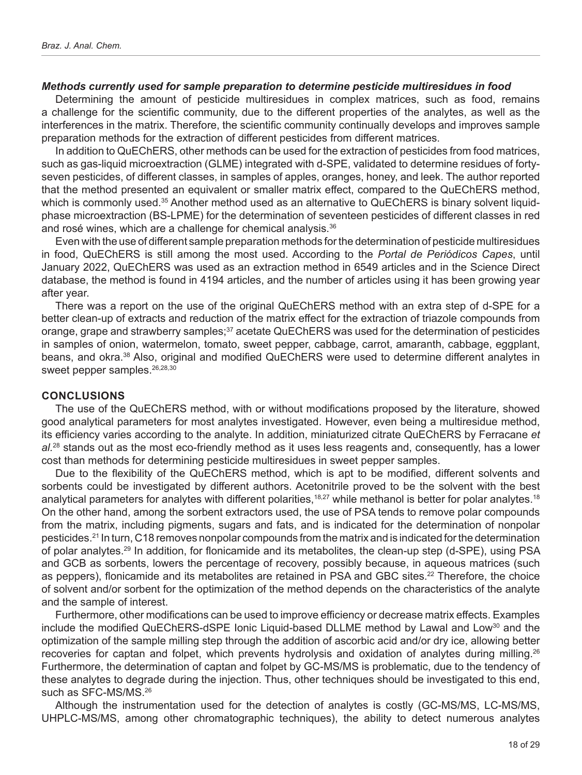#### *Methods currently used for sample preparation to determine pesticide multiresidues in food*

Determining the amount of pesticide multiresidues in complex matrices, such as food, remains a challenge for the scientific community, due to the different properties of the analytes, as well as the interferences in the matrix. Therefore, the scientific community continually develops and improves sample preparation methods for the extraction of different pesticides from different matrices.

In addition to QuEChERS, other methods can be used for the extraction of pesticides from food matrices, such as gas-liquid microextraction (GLME) integrated with d-SPE, validated to determine residues of fortyseven pesticides, of different classes, in samples of apples, oranges, honey, and leek. The author reported that the method presented an equivalent or smaller matrix effect, compared to the QuEChERS method, which is commonly used.<sup>35</sup> Another method used as an alternative to QuEChERS is binary solvent liquidphase microextraction (BS-LPME) for the determination of seventeen pesticides of different classes in red and rosé wines, which are a challenge for chemical analysis.<sup>36</sup>

Even with the use of different sample preparation methods for the determination of pesticide multiresidues in food, QuEChERS is still among the most used. According to the *Portal de Periódicos Capes*, until January 2022, QuEChERS was used as an extraction method in 6549 articles and in the Science Direct database, the method is found in 4194 articles, and the number of articles using it has been growing year after year.

There was a report on the use of the original QuEChERS method with an extra step of d-SPE for a better clean-up of extracts and reduction of the matrix effect for the extraction of triazole compounds from orange, grape and strawberry samples;<sup>37</sup> acetate QuEChERS was used for the determination of pesticides in samples of onion, watermelon, tomato, sweet pepper, cabbage, carrot, amaranth, cabbage, eggplant, beans, and okra.<sup>38</sup> Also, original and modified QuEChERS were used to determine different analytes in sweet pepper samples.<sup>26,28,30</sup>

#### **CONCLUSIONS**

The use of the QuEChERS method, with or without modifications proposed by the literature, showed good analytical parameters for most analytes investigated. However, even being a multiresidue method, its efficiency varies according to the analyte. In addition, miniaturized citrate QuEChERS by Ferracane *et al.*28 stands out as the most eco-friendly method as it uses less reagents and, consequently, has a lower cost than methods for determining pesticide multiresidues in sweet pepper samples.

Due to the flexibility of the QuEChERS method, which is apt to be modified, different solvents and sorbents could be investigated by different authors. Acetonitrile proved to be the solvent with the best analytical parameters for analytes with different polarities,<sup>18,27</sup> while methanol is better for polar analytes.<sup>18</sup> On the other hand, among the sorbent extractors used, the use of PSA tends to remove polar compounds from the matrix, including pigments, sugars and fats, and is indicated for the determination of nonpolar pesticides.21 In turn, C18 removes nonpolar compounds from the matrix and is indicated for the determination of polar analytes.29 In addition, for flonicamide and its metabolites, the clean-up step (d-SPE), using PSA and GCB as sorbents, lowers the percentage of recovery, possibly because, in aqueous matrices (such as peppers), flonicamide and its metabolites are retained in PSA and GBC sites.22 Therefore, the choice of solvent and/or sorbent for the optimization of the method depends on the characteristics of the analyte and the sample of interest.

Furthermore, other modifications can be used to improve efficiency or decrease matrix effects. Examples include the modified QuEChERS-dSPE Ionic Liquid-based DLLME method by Lawal and Low<sup>30</sup> and the optimization of the sample milling step through the addition of ascorbic acid and/or dry ice, allowing better recoveries for captan and folpet, which prevents hydrolysis and oxidation of analytes during milling.<sup>26</sup> Furthermore, the determination of captan and folpet by GC-MS/MS is problematic, due to the tendency of these analytes to degrade during the injection. Thus, other techniques should be investigated to this end, such as SFC-MS/MS.26

Although the instrumentation used for the detection of analytes is costly (GC-MS/MS, LC-MS/MS, UHPLC-MS/MS, among other chromatographic techniques), the ability to detect numerous analytes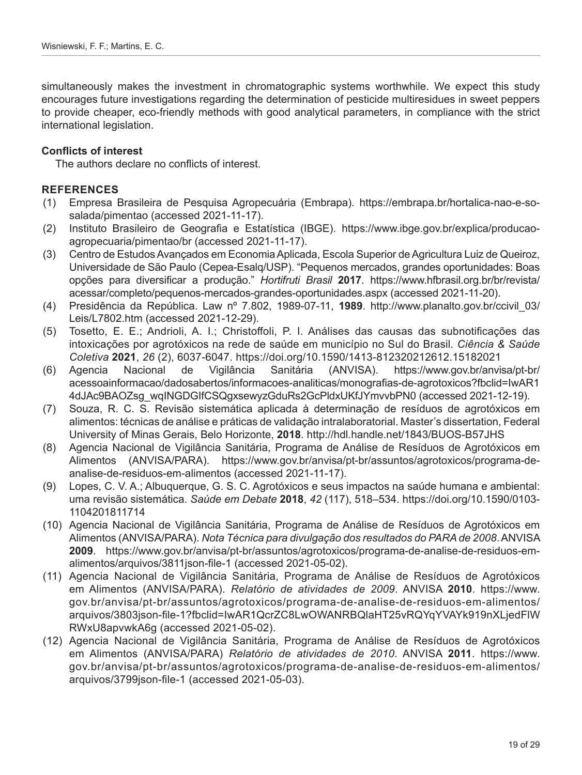simultaneously makes the investment in chromatographic systems worthwhile. We expect this study encourages future investigations regarding the determination of pesticide multiresidues in sweet peppers to provide cheaper, eco-friendly methods with good analytical parameters, in compliance with the strict international legislation.

#### **Conflicts of interest**

The authors declare no conflicts of interest.

#### **REFERENCES**

- (1) Empresa Brasileira de Pesquisa Agropecuária (Embrapa)*.* https://embrapa.br/hortalica-nao-e-sosalada/pimentao (accessed 2021-11-17).
- (2) Instituto Brasileiro de Geografia e Estatística (IBGE). https://www.ibge.gov.br/explica/producaoagropecuaria/pimentao/br (accessed 2021-11-17).
- (3) Centro de Estudos Avançados em Economia Aplicada, Escola Superior de Agricultura Luiz de Queiroz, Universidade de São Paulo (Cepea-Esalq/USP). "Pequenos mercados, grandes oportunidades: Boas opções para diversificar a produção." *Hortifruti Brasil* **2017**. [https://www.hfbrasil.org.br/br/revista/](https://www.hfbrasil.org.br/br/revista/acessar/completo/pequenos-mercados-grandes-oportunidades.aspx) [acessar/completo/pequenos-mercados-grandes-oportunidades.aspx](https://www.hfbrasil.org.br/br/revista/acessar/completo/pequenos-mercados-grandes-oportunidades.aspx) (accessed 2021-11-20).
- (4) Presidência da República. Law nº 7.802, 1989-07-11, **1989**. [http://www.planalto.gov.br/ccivil\\_03/](http://www.planalto.gov.br/ccivil_03/Leis/L7802.htm) [Leis/L7802.htm](http://www.planalto.gov.br/ccivil_03/Leis/L7802.htm) (accessed 2021-12-29).
- (5) Tosetto, E. E.; Andrioli, A. I.; Christoffoli, P. I. Análises das causas das subnotificações das intoxicações por agrotóxicos na rede de saúde em município no Sul do Brasil*. Ciência & Saúde Coletiva* **2021**, *26* (2), 6037-6047. <https://doi.org/10.1590/1413-812320212612.15182021>
- (6) Agencia Nacional de Vigilância Sanitária (ANVISA). [https://www.gov.br/anvisa/pt-br/](https://www.gov.br/anvisa/pt-br/acessoainformacao/dadosabertos/informacoes-analiticas/monografias-de-agrotoxicos?fbclid=IwAR14dJAc9BAOZsg_wqINGDGIfCSQgxsewyzGduRs2GcPldxUKfJYmvvbPN0) [acessoainformacao/dadosabertos/informacoes-analiticas/monografias-de-agrotoxicos?fbclid=IwAR1](https://www.gov.br/anvisa/pt-br/acessoainformacao/dadosabertos/informacoes-analiticas/monografias-de-agrotoxicos?fbclid=IwAR14dJAc9BAOZsg_wqINGDGIfCSQgxsewyzGduRs2GcPldxUKfJYmvvbPN0) [4dJAc9BAOZsg\\_wqINGDGIfCSQgxsewyzGduRs2GcPldxUKfJYmvvbPN0](https://www.gov.br/anvisa/pt-br/acessoainformacao/dadosabertos/informacoes-analiticas/monografias-de-agrotoxicos?fbclid=IwAR14dJAc9BAOZsg_wqINGDGIfCSQgxsewyzGduRs2GcPldxUKfJYmvvbPN0) (accessed 2021-12-19).
- (7) Souza, R. C. S. Revisão sistemática aplicada à determinação de resíduos de agrotóxicos em alimentos: técnicas de análise e práticas de validação intralaboratorial. Master's dissertation, Federal University of Minas Gerais, Belo Horizonte, **2018**. http://hdl.handle.net/1843/BUOS-B57JHS
- (8) Agencia Nacional de Vigilância Sanitária, Programa de Análise de Resíduos de Agrotóxicos em Alimentos (ANVISA/PARA). [https://www.gov.br/anvisa/pt-br/assuntos/agrotoxicos/programa-de](https://www.gov.br/anvisa/pt-br/assuntos/agrotoxicos/programa-de-analise-de-residuos-em-alimentos)[analise-de-residuos-em-alimentos](https://www.gov.br/anvisa/pt-br/assuntos/agrotoxicos/programa-de-analise-de-residuos-em-alimentos) (accessed 2021-11-17).
- (9) Lopes, C. V. A.; Albuquerque, G. S. C. Agrotóxicos e seus impactos na saúde humana e ambiental: uma revisão sistemática. *Saúde em Debate* **2018**, *42* (117), 518–534. https://doi.org/10.1590/0103- 1104201811714
- (10) Agencia Nacional de Vigilância Sanitária, Programa de Análise de Resíduos de Agrotóxicos em Alimentos (ANVISA/PARA). *Nota Técnica para divulgação dos resultados do PARA de 2008*. ANVISA **2009**. https://www.gov.br/anvisa/pt-br/assuntos/agrotoxicos/programa-de-analise-de-residuos-emalimentos/arquivos/3811json-file-1 (accessed 2021-05-02).
- (11) Agencia Nacional de Vigilância Sanitária, Programa de Análise de Resíduos de Agrotóxicos em Alimentos (ANVISA/PARA). *Relatório de atividades de 2009*. ANVISA **2010**. [https://www.](https://www.gov.br/anvisa/pt-br/assuntos/agrotoxicos/programa-de-analise-de-residuos-em-alimentos/arquivos/3803json-file-1?fbclid=IwAR1QcrZC8LwOWANRBQlaHT25vRQYqYVAYk919nXLjedFlWRWxU8apvwkA6g) [gov.br/anvisa/pt-br/assuntos/agrotoxicos/programa-de-analise-de-residuos-em-alimentos/](https://www.gov.br/anvisa/pt-br/assuntos/agrotoxicos/programa-de-analise-de-residuos-em-alimentos/arquivos/3803json-file-1?fbclid=IwAR1QcrZC8LwOWANRBQlaHT25vRQYqYVAYk919nXLjedFlWRWxU8apvwkA6g) [arquivos/3803json-file-1?fbclid=IwAR1QcrZC8LwOWANRBQlaHT25vRQYqYVAYk919nXLjedFlW](https://www.gov.br/anvisa/pt-br/assuntos/agrotoxicos/programa-de-analise-de-residuos-em-alimentos/arquivos/3803json-file-1?fbclid=IwAR1QcrZC8LwOWANRBQlaHT25vRQYqYVAYk919nXLjedFlWRWxU8apvwkA6g) [RWxU8apvwkA6g](https://www.gov.br/anvisa/pt-br/assuntos/agrotoxicos/programa-de-analise-de-residuos-em-alimentos/arquivos/3803json-file-1?fbclid=IwAR1QcrZC8LwOWANRBQlaHT25vRQYqYVAYk919nXLjedFlWRWxU8apvwkA6g) (accessed 2021-05-02).
- (12) Agencia Nacional de Vigilância Sanitária, Programa de Análise de Resíduos de Agrotóxicos em Alimentos (ANVISA/PARA) *Relatório de atividades de 2010*. ANVISA **2011**. [https://www.](https://www.gov.br/anvisa/pt-br/assuntos/agrotoxicos/programa-de-analise-de-residuos-em-alimentos/arquivos/3799json-file-1) [gov.br/anvisa/pt-br/assuntos/agrotoxicos/programa-de-analise-de-residuos-em-alimentos/](https://www.gov.br/anvisa/pt-br/assuntos/agrotoxicos/programa-de-analise-de-residuos-em-alimentos/arquivos/3799json-file-1) [arquivos/3799json-file-1](https://www.gov.br/anvisa/pt-br/assuntos/agrotoxicos/programa-de-analise-de-residuos-em-alimentos/arquivos/3799json-file-1) (accessed 2021-05-03).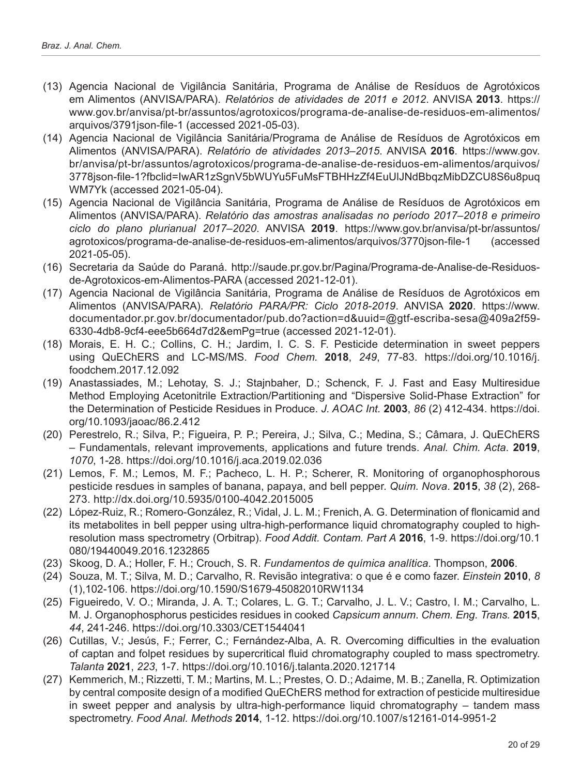- (13) Agencia Nacional de Vigilância Sanitária, Programa de Análise de Resíduos de Agrotóxicos em Alimentos (ANVISA/PARA). *Relatórios de atividades de 2011 e 2012*. ANVISA **2013**. [https://](https://www.gov.br/anvisa/pt-br/assuntos/agrotoxicos/programa-de-analise-de-residuos-em-alimentos/arquivos/3791json-file-1) [www.gov.br/anvisa/pt-br/assuntos/agrotoxicos/programa-de-analise-de-residuos-em-alimentos/](https://www.gov.br/anvisa/pt-br/assuntos/agrotoxicos/programa-de-analise-de-residuos-em-alimentos/arquivos/3791json-file-1) [arquivos/3791json-file-1](https://www.gov.br/anvisa/pt-br/assuntos/agrotoxicos/programa-de-analise-de-residuos-em-alimentos/arquivos/3791json-file-1) (accessed 2021-05-03).
- (14) Agencia Nacional de Vigilância Sanitária/Programa de Análise de Resíduos de Agrotóxicos em Alimentos (ANVISA/PARA). *Relatório de atividades 2013–2015*. ANVISA **2016**. [https://www.gov.](https://www.gov.br/anvisa/pt-br/assuntos/agrotoxicos/programa-de-analise-de-residuos-em-alimentos/arquivos/3778json-file-1?fbclid=IwAR1zSgnV5bWUYu5FuMsFTBHHzZf4EuUlJNdBbqzMibDZCU8S6u8puqWM7Yk) [br/anvisa/pt-br/assuntos/agrotoxicos/programa-de-analise-de-residuos-em-alimentos/arquivos/](https://www.gov.br/anvisa/pt-br/assuntos/agrotoxicos/programa-de-analise-de-residuos-em-alimentos/arquivos/3778json-file-1?fbclid=IwAR1zSgnV5bWUYu5FuMsFTBHHzZf4EuUlJNdBbqzMibDZCU8S6u8puqWM7Yk)  [3778json-file-1?fbclid=IwAR1zSgnV5bWUYu5FuMsFTBHHzZf4EuUlJNdBbqzMibDZCU8S6u8puq](https://www.gov.br/anvisa/pt-br/assuntos/agrotoxicos/programa-de-analise-de-residuos-em-alimentos/arquivos/3778json-file-1?fbclid=IwAR1zSgnV5bWUYu5FuMsFTBHHzZf4EuUlJNdBbqzMibDZCU8S6u8puqWM7Yk) [WM7Yk](https://www.gov.br/anvisa/pt-br/assuntos/agrotoxicos/programa-de-analise-de-residuos-em-alimentos/arquivos/3778json-file-1?fbclid=IwAR1zSgnV5bWUYu5FuMsFTBHHzZf4EuUlJNdBbqzMibDZCU8S6u8puqWM7Yk) (accessed 2021-05-04).
- (15) Agencia Nacional de Vigilância Sanitária, Programa de Análise de Resíduos de Agrotóxicos em Alimentos (ANVISA/PARA). *Relatório das amostras analisadas no período 2017–2018 e primeiro ciclo do plano plurianual 2017–2020*. ANVISA **2019**. [https://www.gov.br/anvisa/pt-br/assuntos/](https://www.gov.br/anvisa/pt-br/assuntos/agrotoxicos/programa-de-analise-de-residuos-em-alimentos/arquivos/3770json-file-1) [agrotoxicos/programa-de-analise-de-residuos-em-alimentos/arquivos/3770json-file-1](https://www.gov.br/anvisa/pt-br/assuntos/agrotoxicos/programa-de-analise-de-residuos-em-alimentos/arquivos/3770json-file-1) (accessed 2021-05-05).
- (16) Secretaria da Saúde do Paraná. [http://saude.pr.gov.br/Pagina/Programa-de-Analise-de-Residuos](http://saude.pr.gov.br/Pagina/Programa-de-Analise-de-Residuos-de-Agrotoxicos-em-Alimentos-PARA)[de-Agrotoxicos-em-Alimentos-PARA](http://saude.pr.gov.br/Pagina/Programa-de-Analise-de-Residuos-de-Agrotoxicos-em-Alimentos-PARA) (accessed 2021-12-01).
- (17) Agencia Nacional de Vigilância Sanitária, Programa de Análise de Resíduos de Agrotóxicos em Alimentos (ANVISA/PARA). *Relatório PARA/PR: Ciclo 2018-2019*. ANVISA **2020**. [https://www.](https://www.documentador.pr.gov.br/documentador/pub.do?action=d&uuid=@gtf-escriba-sesa@409a2f59-6330-4db8-9cf4-eee5b664d7d2&emPg=true) [documentador.pr.gov.br/documentador/pub.do?action=d&uuid=@gtf-escriba-sesa@409a2f59-](https://www.documentador.pr.gov.br/documentador/pub.do?action=d&uuid=@gtf-escriba-sesa@409a2f59-6330-4db8-9cf4-eee5b664d7d2&emPg=true) [6330-4db8-9cf4-eee5b664d7d2&emPg=true](https://www.documentador.pr.gov.br/documentador/pub.do?action=d&uuid=@gtf-escriba-sesa@409a2f59-6330-4db8-9cf4-eee5b664d7d2&emPg=true) (accessed 2021-12-01).
- (18) Morais, E. H. C.; Collins, C. H.; Jardim, I. C. S. F. Pesticide determination in sweet peppers using QuEChERS and LC-MS/MS. *Food Chem.* **2018**, *249*, 77-83. [https://doi.org/10.1016/j.](https://doi.org/10.1016/j.foodchem.2017.12.092) [foodchem.2017.12.092](https://doi.org/10.1016/j.foodchem.2017.12.092)
- (19) Anastassiades, M.; Lehotay, S. J.; Stajnbaher, D.; Schenck, F. J. Fast and Easy Multiresidue Method Employing Acetonitrile Extraction/Partitioning and "Dispersive Solid-Phase Extraction" for the Determination of Pesticide Residues in Produce. *J. AOAC Int.* **2003**, *86* (2) 412-434. [https://doi.](https://doi.org/10.1093/jaoac/86.2.412) [org/10.1093/jaoac/86.2.412](https://doi.org/10.1093/jaoac/86.2.412)
- (20) Perestrelo, R.; Silva, P.; Figueira, P. P.; Pereira, J.; Silva, C.; Medina, S.; Câmara, J. QuEChERS – Fundamentals, relevant improvements, applications and future trends. *Anal. Chim. Acta*. **2019**, *1070*, 1-28. https://doi.org/10.1016/j.aca.2019.02.036
- (21) Lemos, F. M.; Lemos, M. F.; Pacheco, L. H. P.; Scherer, R. Monitoring of organophosphorous pesticide resdues in samples of banana, papaya, and bell pepper. *Quim. Nova*. **2015**, *38* (2), 268- 273. <http://dx.doi.org/10.5935/0100-4042.2015005>
- (22) López-Ruiz, R.; Romero-González, R.; Vidal, J. L. M.; Frenich, A. G. Determination of flonicamid and its metabolites in bell pepper using ultra-high-performance liquid chromatography coupled to highresolution mass spectrometry (Orbitrap). *Food Addit. Contam. Part A* **2016**, 1-9. [https://doi.org/10.1](https://doi.org/10.1080/19440049.2016.1232865) [080/19440049.2016.1232865](https://doi.org/10.1080/19440049.2016.1232865)
- (23) Skoog, D. A.; Holler, F. H.; Crouch, S. R. *Fundamentos de química analítica*. Thompson, **2006**.
- (24) Souza, M. T.; Silva, M. D.; Carvalho, R. Revisão integrativa: o que é e como fazer. *Einstein* **2010**, *8* (1),102-106. https://doi.org/10.1590/S1679-45082010RW1134
- (25) Figueiredo, V. O.; Miranda, J. A. T.; Colares, L. G. T.; Carvalho, J. L. V.; Castro, I. M.; Carvalho, L. M. J. Organophosphorus pesticides residues in cooked *Capsicum annum*. *Chem. Eng. Trans.* **2015**, *44*, 241-246.<https://doi.org/10.3303/CET1544041>
- (26) Cutillas, V.; Jesús, F.; Ferrer, C.; Fernández-Alba, A. R. Overcoming difficulties in the evaluation of captan and folpet residues by supercritical fluid chromatography coupled to mass spectrometry. *Talanta* **2021**, *223*, 1-7. https://doi.org/10.1016/j.talanta.2020.121714
- (27) Kemmerich, M.; Rizzetti, T. M.; Martins, M. L.; Prestes, O. D.; Adaime, M. B.; Zanella, R. Optimization by central composite design of a modified QuEChERS method for extraction of pesticide multiresidue in sweet pepper and analysis by ultra-high-performance liquid chromatography – tandem mass spectrometry. *Food Anal. Methods* **2014**, 1-12[. https://doi.org/10.1007/s12161-014-9951-2](https://doi.org/10.1007/s12161-014-9951-2)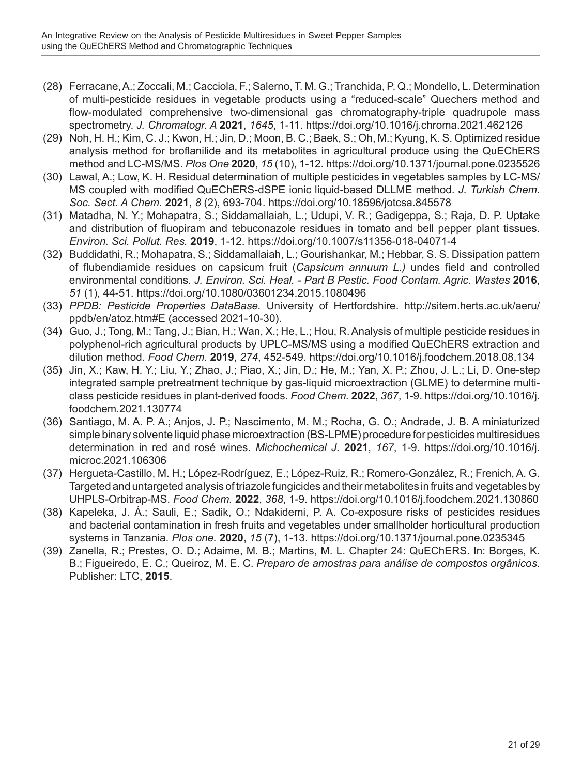- (28) Ferracane, A.; Zoccali, M.; Cacciola, F.; Salerno, T. M. G.; Tranchida, P. Q.; Mondello, L. Determination of multi-pesticide residues in vegetable products using a "reduced-scale" Quechers method and flow-modulated comprehensive two-dimensional gas chromatography-triple quadrupole mass spectrometry. *J. Chromatogr. A* **2021**, *1645*, 1-11.<https://doi.org/10.1016/j.chroma.2021.462126>
- (29) Noh, H. H.; Kim, C. J.; Kwon, H.; Jin, D.; Moon, B. C.; Baek, S.; Oh, M.; Kyung, K. S. Optimized residue analysis method for broflanilide and its metabolites in agricultural produce using the QuEChERS method and LC-MS/MS. *Plos One* **2020**, *15* (10), 1-12. [https://doi.org/10.1371/journal.pone.0235526](https://doi.org/10.1371/journal.pone.0235526
)
- (30) Lawal, A.; Low, K. H. Residual determination of multiple pesticides in vegetables samples by LC-MS/ MS coupled with modified QuEChERS-dSPE ionic liquid-based DLLME method. *J. Turkish Chem. Soc. Sect. A Chem.* **2021**, *8* (2), 693-704. <https://doi.org/10.18596/jotcsa.845578>
- (31) Matadha, N. Y.; Mohapatra, S.; Siddamallaiah, L.; Udupi, V. R.; Gadigeppa, S.; Raja, D. P. Uptake and distribution of fluopiram and tebuconazole residues in tomato and bell pepper plant tissues. *Environ. Sci. Pollut. Res.* **2019**, 1-12. <https://doi.org/10.1007/s11356-018-04071-4>
- (32) Buddidathi, R.; Mohapatra, S.; Siddamallaiah, L.; Gourishankar, M.; Hebbar, S. S. Dissipation pattern of flubendiamide residues on capsicum fruit (*Capsicum annuum L.)* undes field and controlled environmental conditions. *J. Environ. Sci. Heal. - Part B Pestic. Food Contam. Agric. Wastes* **2016**, *51* (1), 44-51. <https://doi.org/10.1080/03601234.2015.1080496>
- (33) *PPDB: Pesticide Properties DataBase.* University of Hertfordshire. [http://sitem.herts.ac.uk/aeru/](http://sitem.herts.ac.uk/aeru/ppdb/en/atoz.htm#E) [ppdb/en/atoz.htm#E](http://sitem.herts.ac.uk/aeru/ppdb/en/atoz.htm#E) (accessed 2021-10-30).
- (34) Guo, J.; Tong, M.; Tang, J.; Bian, H.; Wan, X.; He, L.; Hou, R. Analysis of multiple pesticide residues in polyphenol-rich agricultural products by UPLC-MS/MS using a modified QuEChERS extraction and dilution method. *Food Chem.* **2019**, *274*, 452-549. <https://doi.org/10.1016/j.foodchem.2018.08.134>
- (35) Jin, X.; Kaw, H. Y.; Liu, Y.; Zhao, J.; Piao, X.; Jin, D.; He, M.; Yan, X. P.; Zhou, J. L.; Li, D. One-step integrated sample pretreatment technique by gas-liquid microextraction (GLME) to determine multiclass pesticide residues in plant-derived foods. *Food Chem.* **2022**, *367*, 1-9. [https://doi.org/10.1016/j.](https://doi.org/10.1016/j.foodchem.2021.130774) [foodchem.2021.130774](https://doi.org/10.1016/j.foodchem.2021.130774)
- (36) Santiago, M. A. P. A.; Anjos, J. P.; Nascimento, M. M.; Rocha, G. O.; Andrade, J. B. A miniaturized simple binary solvente liquid phase microextraction (BS-LPME) procedure for pesticides multiresidues determination in red and rosé wines. *Michochemical J.* **2021**, *167*, 1-9. [https://doi.org/10.1016/j.](https://doi.org/10.1016/j.microc.2021.106306) [microc.2021.106306](https://doi.org/10.1016/j.microc.2021.106306)
- (37) Hergueta-Castillo, M. H.; López-Rodríguez, E.; López-Ruiz, R.; Romero-González, R.; Frenich, A. G. Targeted and untargeted analysis of triazole fungicides and their metabolites in fruits and vegetables by UHPLS-Orbitrap-MS. *Food Chem.* **2022**, *368*, 1-9. <https://doi.org/10.1016/j.foodchem.2021.130860>
- (38) Kapeleka, J. Á.; Sauli, E.; Sadik, O.; Ndakidemi, P. A. Co-exposure risks of pesticides residues and bacterial contamination in fresh fruits and vegetables under smallholder horticultural production systems in Tanzania. *Plos one.* **2020**, *15* (7), 1-13.<https://doi.org/10.1371/journal.pone.0235345>
- (39) Zanella, R.; Prestes, O. D.; Adaime, M. B.; Martins, M. L. Chapter 24: QuEChERS. In: Borges, K. B.; Figueiredo, E. C.; Queiroz, M. E. C. *Preparo de amostras para análise de compostos orgânicos*. Publisher: LTC, **2015**.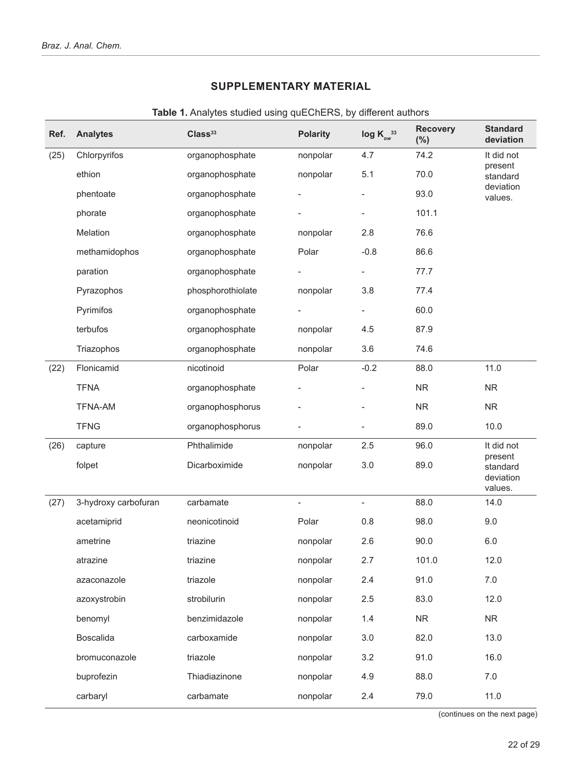### **SUPPLEMENTARY MATERIAL**

| Ref. | <b>Analytes</b>      | Class <sup>33</sup> | <b>Polarity</b>          | log $K_{ow}^{33}$            | <b>Recovery</b><br>(%) | <b>Standard</b><br>deviation     |
|------|----------------------|---------------------|--------------------------|------------------------------|------------------------|----------------------------------|
| (25) | Chlorpyrifos         | organophosphate     | nonpolar                 | 4.7                          | 74.2                   | It did not                       |
|      | ethion               | organophosphate     | nonpolar                 | 5.1                          | 70.0                   | present<br>standard              |
|      | phentoate            | organophosphate     |                          | $\overline{\phantom{a}}$     | 93.0                   | deviation<br>values.             |
|      | phorate              | organophosphate     |                          | $\overline{\phantom{0}}$     | 101.1                  |                                  |
|      | Melation             | organophosphate     | nonpolar                 | 2.8                          | 76.6                   |                                  |
|      | methamidophos        | organophosphate     | Polar                    | $-0.8$                       | 86.6                   |                                  |
|      | paration             | organophosphate     |                          | $\overline{\phantom{0}}$     | 77.7                   |                                  |
|      | Pyrazophos           | phosphorothiolate   | nonpolar                 | 3.8                          | 77.4                   |                                  |
|      | Pyrimifos            | organophosphate     |                          | $\overline{\phantom{0}}$     | 60.0                   |                                  |
|      | terbufos             | organophosphate     | nonpolar                 | 4.5                          | 87.9                   |                                  |
|      | Triazophos           | organophosphate     | nonpolar                 | 3.6                          | 74.6                   |                                  |
| (22) | Flonicamid           | nicotinoid          | Polar                    | $-0.2$                       | 88.0                   | 11.0                             |
|      | <b>TFNA</b>          | organophosphate     |                          |                              | ${\sf NR}$             | NR                               |
|      | <b>TFNA-AM</b>       | organophosphorus    |                          |                              | <b>NR</b>              | <b>NR</b>                        |
|      | <b>TFNG</b>          | organophosphorus    |                          | -                            | 89.0                   | 10.0                             |
| (26) | capture              | Phthalimide         | nonpolar                 | 2.5                          | 96.0                   | It did not<br>present            |
|      | folpet               | Dicarboximide       | nonpolar                 | 3.0                          | 89.0                   | standard<br>deviation<br>values. |
| (27) | 3-hydroxy carbofuran | carbamate           | $\overline{\phantom{a}}$ | $\qquad \qquad \blacksquare$ | 88.0                   | 14.0                             |
|      | acetamiprid          | neonicotinoid       | Polar                    | 0.8                          | 98.0                   | 9.0                              |
|      | ametrine             | triazine            | nonpolar                 | 2.6                          | 90.0                   | 6.0                              |
|      | atrazine             | triazine            | nonpolar                 | 2.7                          | 101.0                  | 12.0                             |
|      | azaconazole          | triazole            | nonpolar                 | 2.4                          | 91.0                   | 7.0                              |
|      | azoxystrobin         | strobilurin         | nonpolar                 | 2.5                          | 83.0                   | 12.0                             |
|      | benomyl              | benzimidazole       | nonpolar                 | 1.4                          | <b>NR</b>              | <b>NR</b>                        |
|      | Boscalida            | carboxamide         | nonpolar                 | 3.0                          | 82.0                   | 13.0                             |
|      | bromuconazole        | triazole            | nonpolar                 | 3.2                          | 91.0                   | 16.0                             |
|      | buprofezin           | Thiadiazinone       | nonpolar                 | 4.9                          | 88.0                   | 7.0                              |
|      | carbaryl             | carbamate           | nonpolar                 | 2.4                          | 79.0                   | 11.0                             |

**Table 1.** Analytes studied using quEChERS, by different authors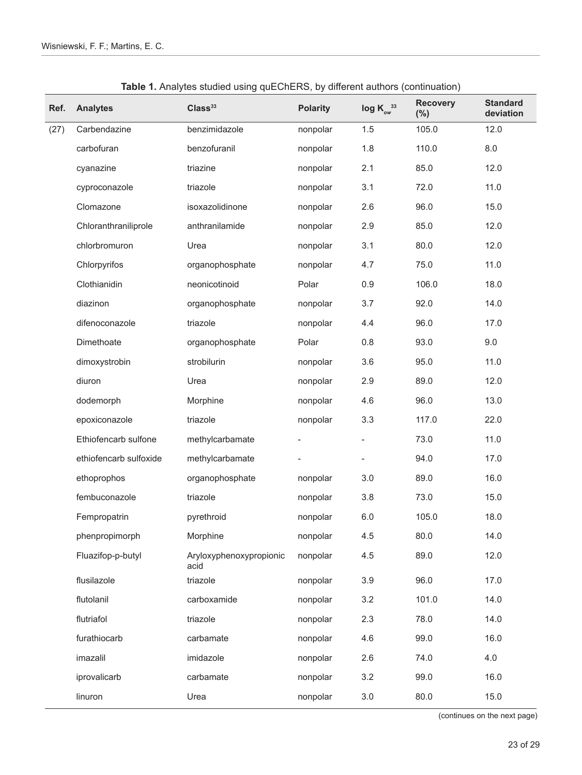| Ref. | <b>Analytes</b>        | Class <sup>33</sup>             | <b>Polarity</b> | $log K_{ow}^{33}$        | <b>Recovery</b><br>(% ) | <b>Standard</b><br>deviation |
|------|------------------------|---------------------------------|-----------------|--------------------------|-------------------------|------------------------------|
| (27) | Carbendazine           | benzimidazole                   | nonpolar        | 1.5                      | 105.0                   | 12.0                         |
|      | carbofuran             | benzofuranil                    | nonpolar        | 1.8                      | 110.0                   | 8.0                          |
|      | cyanazine              | triazine                        | nonpolar        | 2.1                      | 85.0                    | 12.0                         |
|      | cyproconazole          | triazole                        | nonpolar        | 3.1                      | 72.0                    | 11.0                         |
|      | Clomazone              | isoxazolidinone                 | nonpolar        | 2.6                      | 96.0                    | 15.0                         |
|      | Chloranthraniliprole   | anthranilamide                  | nonpolar        | 2.9                      | 85.0                    | 12.0                         |
|      | chlorbromuron          | Urea                            | nonpolar        | 3.1                      | 80.0                    | 12.0                         |
|      | Chlorpyrifos           | organophosphate                 | nonpolar        | 4.7                      | 75.0                    | 11.0                         |
|      | Clothianidin           | neonicotinoid                   | Polar           | 0.9                      | 106.0                   | 18.0                         |
|      | diazinon               | organophosphate                 | nonpolar        | 3.7                      | 92.0                    | 14.0                         |
|      | difenoconazole         | triazole                        | nonpolar        | 4.4                      | 96.0                    | 17.0                         |
|      | Dimethoate             | organophosphate                 | Polar           | $0.8\,$                  | 93.0                    | 9.0                          |
|      | dimoxystrobin          | strobilurin                     | nonpolar        | 3.6                      | 95.0                    | 11.0                         |
|      | diuron                 | Urea                            | nonpolar        | 2.9                      | 89.0                    | 12.0                         |
|      | dodemorph              | Morphine                        | nonpolar        | 4.6                      | 96.0                    | 13.0                         |
|      | epoxiconazole          | triazole                        | nonpolar        | 3.3                      | 117.0                   | 22.0                         |
|      | Ethiofencarb sulfone   | methylcarbamate                 |                 | $\overline{\phantom{a}}$ | 73.0                    | 11.0                         |
|      | ethiofencarb sulfoxide | methylcarbamate                 |                 |                          | 94.0                    | 17.0                         |
|      | ethoprophos            | organophosphate                 | nonpolar        | 3.0                      | 89.0                    | 16.0                         |
|      | fembuconazole          | triazole                        | nonpolar        | 3.8                      | 73.0                    | 15.0                         |
|      | Fempropatrin           | pyrethroid                      | nonpolar        | $6.0\,$                  | 105.0                   | 18.0                         |
|      | phenpropimorph         | Morphine                        | nonpolar        | 4.5                      | 80.0                    | 14.0                         |
|      | Fluazifop-p-butyl      | Aryloxyphenoxypropionic<br>acid | nonpolar        | 4.5                      | 89.0                    | 12.0                         |
|      | flusilazole            | triazole                        | nonpolar        | 3.9                      | 96.0                    | 17.0                         |
|      | flutolanil             | carboxamide                     | nonpolar        | 3.2                      | 101.0                   | 14.0                         |
|      | flutriafol             | triazole                        | nonpolar        | 2.3                      | 78.0                    | 14.0                         |
|      | furathiocarb           | carbamate                       | nonpolar        | 4.6                      | 99.0                    | 16.0                         |
|      | imazalil               | imidazole                       | nonpolar        | 2.6                      | 74.0                    | 4.0                          |
|      | iprovalicarb           | carbamate                       | nonpolar        | 3.2                      | 99.0                    | 16.0                         |
|      | linuron                | Urea                            | nonpolar        | 3.0                      | 80.0                    | 15.0                         |

**Table 1.** Analytes studied using quEChERS, by different authors (continuation)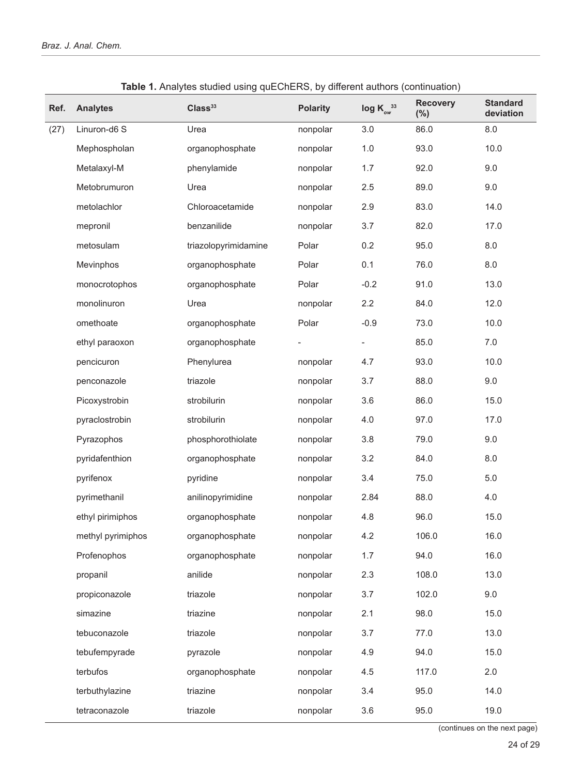| Ref. | <b>Analytes</b>   | Class <sup>33</sup>  | <b>Polarity</b> | $\log K_{ow}^{33}$ | <b>Recovery</b><br>(%) | <b>Standard</b><br>deviation |
|------|-------------------|----------------------|-----------------|--------------------|------------------------|------------------------------|
| (27) | Linuron-d6 S      | Urea                 | nonpolar        | 3.0                | 86.0                   | 8.0                          |
|      | Mephospholan      | organophosphate      | nonpolar        | 1.0                | 93.0                   | 10.0                         |
|      | Metalaxyl-M       | phenylamide          | nonpolar        | 1.7                | 92.0                   | 9.0                          |
|      | Metobrumuron      | Urea                 | nonpolar        | 2.5                | 89.0                   | 9.0                          |
|      | metolachlor       | Chloroacetamide      | nonpolar        | 2.9                | 83.0                   | 14.0                         |
|      | mepronil          | benzanilide          | nonpolar        | 3.7                | 82.0                   | 17.0                         |
|      | metosulam         | triazolopyrimidamine | Polar           | 0.2                | 95.0                   | 8.0                          |
|      | Mevinphos         | organophosphate      | Polar           | 0.1                | 76.0                   | 8.0                          |
|      | monocrotophos     | organophosphate      | Polar           | $-0.2$             | 91.0                   | 13.0                         |
|      | monolinuron       | Urea                 | nonpolar        | 2.2                | 84.0                   | 12.0                         |
|      | omethoate         | organophosphate      | Polar           | $-0.9$             | 73.0                   | 10.0                         |
|      | ethyl paraoxon    | organophosphate      |                 |                    | 85.0                   | $7.0$                        |
|      | pencicuron        | Phenylurea           | nonpolar        | 4.7                | 93.0                   | 10.0                         |
|      | penconazole       | triazole             | nonpolar        | 3.7                | 88.0                   | 9.0                          |
|      | Picoxystrobin     | strobilurin          | nonpolar        | 3.6                | 86.0                   | 15.0                         |
|      | pyraclostrobin    | strobilurin          | nonpolar        | 4.0                | 97.0                   | 17.0                         |
|      | Pyrazophos        | phosphorothiolate    | nonpolar        | 3.8                | 79.0                   | 9.0                          |
|      | pyridafenthion    | organophosphate      | nonpolar        | 3.2                | 84.0                   | 8.0                          |
|      | pyrifenox         | pyridine             | nonpolar        | 3.4                | 75.0                   | 5.0                          |
|      | pyrimethanil      | anilinopyrimidine    | nonpolar        | 2.84               | 88.0                   | 4.0                          |
|      | ethyl pirimiphos  | organophosphate      | nonpolar        | 4.8                | 96.0                   | 15.0                         |
|      | methyl pyrimiphos | organophosphate      | nonpolar        | 4.2                | 106.0                  | 16.0                         |
|      | Profenophos       | organophosphate      | nonpolar        | 1.7                | 94.0                   | 16.0                         |
|      | propanil          | anilide              | nonpolar        | 2.3                | 108.0                  | 13.0                         |
|      | propiconazole     | triazole             | nonpolar        | 3.7                | 102.0                  | 9.0                          |
|      | simazine          | triazine             | nonpolar        | 2.1                | 98.0                   | 15.0                         |
|      | tebuconazole      | triazole             | nonpolar        | 3.7                | 77.0                   | 13.0                         |
|      | tebufempyrade     | pyrazole             | nonpolar        | 4.9                | 94.0                   | 15.0                         |
|      | terbufos          | organophosphate      | nonpolar        | 4.5                | 117.0                  | 2.0                          |
|      | terbuthylazine    | triazine             | nonpolar        | 3.4                | 95.0                   | 14.0                         |
|      | tetraconazole     | triazole             | nonpolar        | 3.6                | 95.0                   | 19.0                         |

**Table 1.** Analytes studied using quEChERS, by different authors (continuation)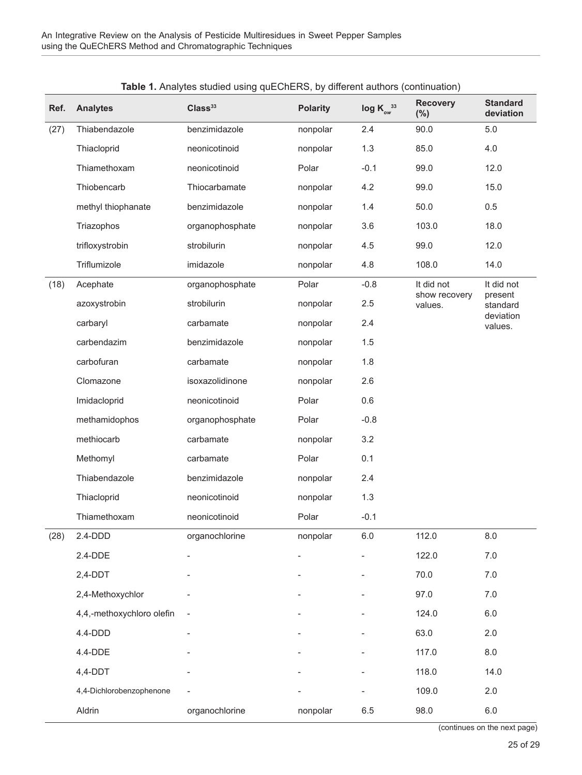| Ref. | <b>Analytes</b>           | <b>Ravid 1.</b> Analyted dated doing quebriers, by unividint authors (commutation)<br>Class <sup>33</sup> | <b>Polarity</b> | log $K_{\alpha}^{33}$ | <b>Recovery</b><br>$(\%)$ | <b>Standard</b><br>deviation |
|------|---------------------------|-----------------------------------------------------------------------------------------------------------|-----------------|-----------------------|---------------------------|------------------------------|
| (27) | Thiabendazole             | benzimidazole                                                                                             | nonpolar        | 2.4                   | 90.0                      | $5.0$                        |
|      | Thiacloprid               | neonicotinoid                                                                                             | nonpolar        | 1.3                   | 85.0                      | 4.0                          |
|      | Thiamethoxam              | neonicotinoid                                                                                             | Polar           | $-0.1$                | 99.0                      | 12.0                         |
|      | Thiobencarb               | Thiocarbamate                                                                                             | nonpolar        | 4.2                   | 99.0                      | 15.0                         |
|      | methyl thiophanate        | benzimidazole                                                                                             | nonpolar        | 1.4                   | 50.0                      | 0.5                          |
|      | Triazophos                | organophosphate                                                                                           | nonpolar        | 3.6                   | 103.0                     | 18.0                         |
|      | trifloxystrobin           | strobilurin                                                                                               | nonpolar        | 4.5                   | 99.0                      | 12.0                         |
|      | Triflumizole              | imidazole                                                                                                 | nonpolar        | 4.8                   | 108.0                     | 14.0                         |
| (18) | Acephate                  | organophosphate                                                                                           | Polar           | $-0.8$                | It did not                | It did not                   |
|      | azoxystrobin              | strobilurin                                                                                               | nonpolar        | 2.5                   | show recovery<br>values.  | present<br>standard          |
|      | carbaryl                  | carbamate                                                                                                 | nonpolar        | 2.4                   |                           | deviation<br>values.         |
|      | carbendazim               | benzimidazole                                                                                             | nonpolar        | 1.5                   |                           |                              |
|      | carbofuran                | carbamate                                                                                                 | nonpolar        | 1.8                   |                           |                              |
|      | Clomazone                 | isoxazolidinone                                                                                           | nonpolar        | 2.6                   |                           |                              |
|      | Imidacloprid              | neonicotinoid                                                                                             | Polar           | 0.6                   |                           |                              |
|      | methamidophos             | organophosphate                                                                                           | Polar           | $-0.8$                |                           |                              |
|      | methiocarb                | carbamate                                                                                                 | nonpolar        | 3.2                   |                           |                              |
|      | Methomyl                  | carbamate                                                                                                 | Polar           | 0.1                   |                           |                              |
|      | Thiabendazole             | benzimidazole                                                                                             | nonpolar        | 2.4                   |                           |                              |
|      | Thiacloprid               | neonicotinoid                                                                                             | nonpolar        | 1.3                   |                           |                              |
|      | Thiamethoxam              | neonicotinoid                                                                                             | Polar           | $-0.1$                |                           |                              |
| (28) | 2.4-DDD                   | organochlorine                                                                                            | nonpolar        | $6.0\,$               | 112.0                     | 8.0                          |
|      | 2.4-DDE                   |                                                                                                           |                 |                       | 122.0                     | $7.0$                        |
|      | $2,4-DDT$                 |                                                                                                           |                 |                       | 70.0                      | $7.0$                        |
|      | 2,4-Methoxychlor          |                                                                                                           |                 |                       | 97.0                      | 7.0                          |
|      | 4,4,-methoxychloro olefin |                                                                                                           |                 |                       | 124.0                     | $6.0\,$                      |
|      | 4.4-DDD                   |                                                                                                           |                 |                       | 63.0                      | 2.0                          |
|      | 4.4-DDE                   |                                                                                                           |                 |                       | 117.0                     | 8.0                          |
|      | $4,4-DDT$                 |                                                                                                           |                 |                       | 118.0                     | 14.0                         |
|      | 4,4-Dichlorobenzophenone  |                                                                                                           |                 |                       | 109.0                     | 2.0                          |
|      | Aldrin                    | organochlorine                                                                                            | nonpolar        | 6.5                   | 98.0                      | $6.0\,$                      |

| Table 1. Analytes studied using quEChERS, by different authors (continuation) |  |  |  |
|-------------------------------------------------------------------------------|--|--|--|
|-------------------------------------------------------------------------------|--|--|--|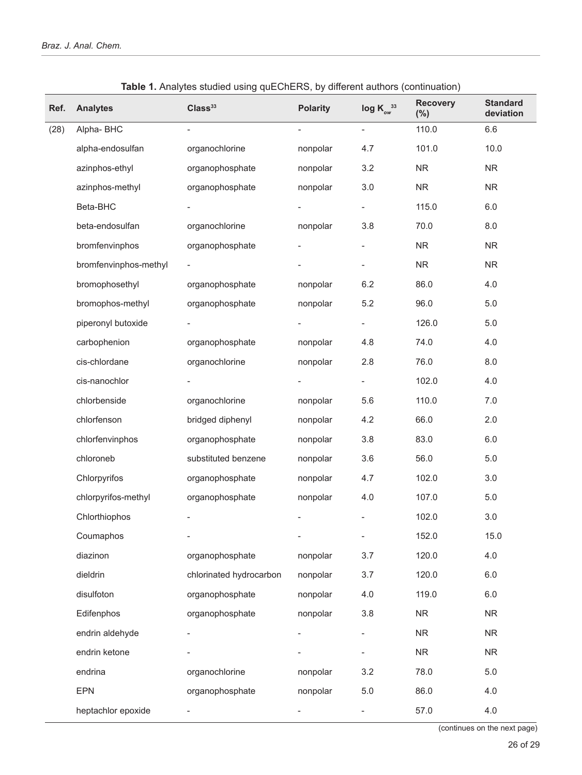| Ref. | <b>Analytes</b>       | Class <sup>33</sup>     | <b>Polarity</b>          | $log K_{ow}^{33}$        | <b>Recovery</b><br>$(\%)$ | <b>Standard</b><br>deviation |
|------|-----------------------|-------------------------|--------------------------|--------------------------|---------------------------|------------------------------|
| (28) | Alpha-BHC             | $\blacksquare$          | $\overline{\phantom{0}}$ | $\overline{\phantom{a}}$ | 110.0                     | 6.6                          |
|      | alpha-endosulfan      | organochlorine          | nonpolar                 | 4.7                      | 101.0                     | 10.0                         |
|      | azinphos-ethyl        | organophosphate         | nonpolar                 | 3.2                      | <b>NR</b>                 | <b>NR</b>                    |
|      | azinphos-methyl       | organophosphate         | nonpolar                 | 3.0                      | NR                        | ${\sf NR}$                   |
|      | Beta-BHC              |                         |                          |                          | 115.0                     | 6.0                          |
|      | beta-endosulfan       | organochlorine          | nonpolar                 | 3.8                      | 70.0                      | 8.0                          |
|      | bromfenvinphos        | organophosphate         |                          |                          | <b>NR</b>                 | ${\sf NR}$                   |
|      | bromfenvinphos-methyl |                         |                          |                          | <b>NR</b>                 | ${\sf NR}$                   |
|      | bromophosethyl        | organophosphate         | nonpolar                 | 6.2                      | 86.0                      | 4.0                          |
|      | bromophos-methyl      | organophosphate         | nonpolar                 | 5.2                      | 96.0                      | $5.0$                        |
|      | piperonyl butoxide    |                         |                          | $\overline{\phantom{0}}$ | 126.0                     | 5.0                          |
|      | carbophenion          | organophosphate         | nonpolar                 | 4.8                      | 74.0                      | 4.0                          |
|      | cis-chlordane         | organochlorine          | nonpolar                 | 2.8                      | 76.0                      | 8.0                          |
|      | cis-nanochlor         |                         |                          | $\overline{\phantom{a}}$ | 102.0                     | 4.0                          |
|      | chlorbenside          | organochlorine          | nonpolar                 | 5.6                      | 110.0                     | 7.0                          |
|      | chlorfenson           | bridged diphenyl        | nonpolar                 | 4.2                      | 66.0                      | 2.0                          |
|      | chlorfenvinphos       | organophosphate         | nonpolar                 | 3.8                      | 83.0                      | 6.0                          |
|      | chloroneb             | substituted benzene     | nonpolar                 | 3.6                      | 56.0                      | 5.0                          |
|      | Chlorpyrifos          | organophosphate         | nonpolar                 | 4.7                      | 102.0                     | 3.0                          |
|      | chlorpyrifos-methyl   | organophosphate         | nonpolar                 | 4.0                      | 107.0                     | 5.0                          |
|      | Chlorthiophos         |                         |                          |                          | 102.0                     | 3.0                          |
|      | Coumaphos             |                         |                          | $\overline{\phantom{0}}$ | 152.0                     | 15.0                         |
|      | diazinon              | organophosphate         | nonpolar                 | 3.7                      | 120.0                     | 4.0                          |
|      | dieldrin              | chlorinated hydrocarbon | nonpolar                 | 3.7                      | 120.0                     | 6.0                          |
|      | disulfoton            | organophosphate         | nonpolar                 | 4.0                      | 119.0                     | 6.0                          |
|      | Edifenphos            | organophosphate         | nonpolar                 | 3.8                      | <b>NR</b>                 | ${\sf NR}$                   |
|      | endrin aldehyde       |                         |                          | $\overline{\phantom{0}}$ | <b>NR</b>                 | ${\sf NR}$                   |
|      | endrin ketone         |                         |                          | $\overline{\phantom{0}}$ | <b>NR</b>                 | <b>NR</b>                    |
|      | endrina               | organochlorine          | nonpolar                 | 3.2                      | 78.0                      | 5.0                          |
|      | <b>EPN</b>            | organophosphate         | nonpolar                 | $5.0\,$                  | 86.0                      | 4.0                          |
|      | heptachlor epoxide    |                         |                          | -                        | 57.0                      | 4.0                          |

**Table 1.** Analytes studied using quEChERS, by different authors (continuation)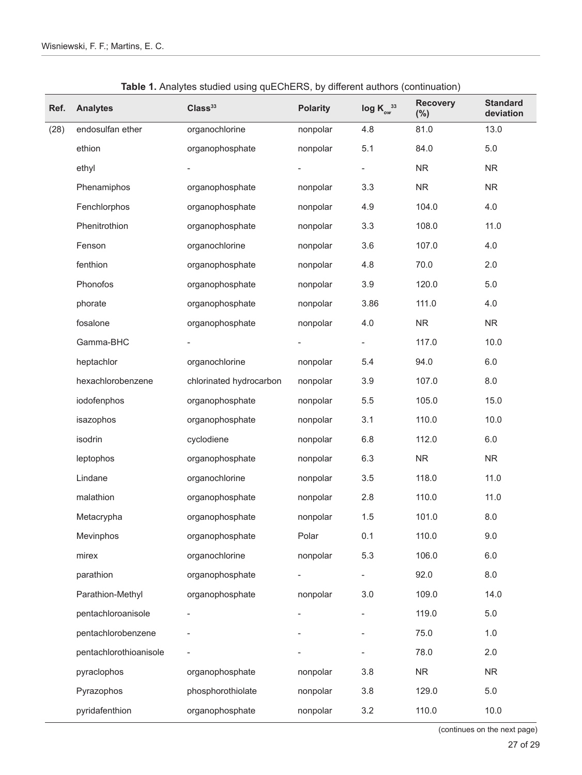| Ref. | <b>Analytes</b>        | Class <sup>33</sup>     | <b>Polarity</b>          | $log K_{ow}^{33}$        | <b>Recovery</b><br>$(\%)$ | <b>Standard</b><br>deviation |
|------|------------------------|-------------------------|--------------------------|--------------------------|---------------------------|------------------------------|
| (28) | endosulfan ether       | organochlorine          | nonpolar                 | 4.8                      | 81.0                      | 13.0                         |
|      | ethion                 | organophosphate         | nonpolar                 | 5.1                      | 84.0                      | 5.0                          |
|      | ethyl                  |                         |                          | -                        | <b>NR</b>                 | <b>NR</b>                    |
|      | Phenamiphos            | organophosphate         | nonpolar                 | 3.3                      | ${\sf NR}$                | ${\sf NR}$                   |
|      | Fenchlorphos           | organophosphate         | nonpolar                 | 4.9                      | 104.0                     | 4.0                          |
|      | Phenitrothion          | organophosphate         | nonpolar                 | 3.3                      | 108.0                     | 11.0                         |
|      | Fenson                 | organochlorine          | nonpolar                 | 3.6                      | 107.0                     | 4.0                          |
|      | fenthion               | organophosphate         | nonpolar                 | 4.8                      | 70.0                      | 2.0                          |
|      | Phonofos               | organophosphate         | nonpolar                 | 3.9                      | 120.0                     | 5.0                          |
|      | phorate                | organophosphate         | nonpolar                 | 3.86                     | 111.0                     | 4.0                          |
|      | fosalone               | organophosphate         | nonpolar                 | 4.0                      | ${\sf NR}$                | ${\sf NR}$                   |
|      | Gamma-BHC              |                         |                          |                          | 117.0                     | 10.0                         |
|      | heptachlor             | organochlorine          | nonpolar                 | 5.4                      | 94.0                      | $6.0\,$                      |
|      | hexachlorobenzene      | chlorinated hydrocarbon | nonpolar                 | 3.9                      | 107.0                     | 8.0                          |
|      | iodofenphos            | organophosphate         | nonpolar                 | 5.5                      | 105.0                     | 15.0                         |
|      | isazophos              | organophosphate         | nonpolar                 | 3.1                      | 110.0                     | 10.0                         |
|      | isodrin                | cyclodiene              | nonpolar                 | 6.8                      | 112.0                     | $6.0\,$                      |
|      | leptophos              | organophosphate         | nonpolar                 | 6.3                      | ${\sf NR}$                | ${\sf NR}$                   |
|      | Lindane                | organochlorine          | nonpolar                 | 3.5                      | 118.0                     | 11.0                         |
|      | malathion              | organophosphate         | nonpolar                 | 2.8                      | 110.0                     | 11.0                         |
|      | Metacrypha             | organophosphate         | nonpolar                 | 1.5                      | 101.0                     | $8.0\,$                      |
|      | Mevinphos              | organophosphate         | Polar                    | 0.1                      | 110.0                     | 9.0                          |
|      | mirex                  | organochlorine          | nonpolar                 | 5.3                      | 106.0                     | $6.0\,$                      |
|      | parathion              | organophosphate         |                          | $\overline{\phantom{a}}$ | 92.0                      | 8.0                          |
|      | Parathion-Methyl       | organophosphate         | nonpolar                 | 3.0                      | 109.0                     | 14.0                         |
|      | pentachloroanisole     |                         | $\overline{\phantom{0}}$ |                          | 119.0                     | $5.0\,$                      |
|      | pentachlorobenzene     |                         |                          |                          | 75.0                      | 1.0                          |
|      | pentachlorothioanisole |                         |                          |                          | 78.0                      | 2.0                          |
|      | pyraclophos            | organophosphate         | nonpolar                 | 3.8                      | ${\sf NR}$                | <b>NR</b>                    |
|      | Pyrazophos             | phosphorothiolate       | nonpolar                 | 3.8                      | 129.0                     | 5.0                          |
|      | pyridafenthion         | organophosphate         | nonpolar                 | 3.2                      | 110.0                     | 10.0                         |

**Table 1.** Analytes studied using quEChERS, by different authors (continuation)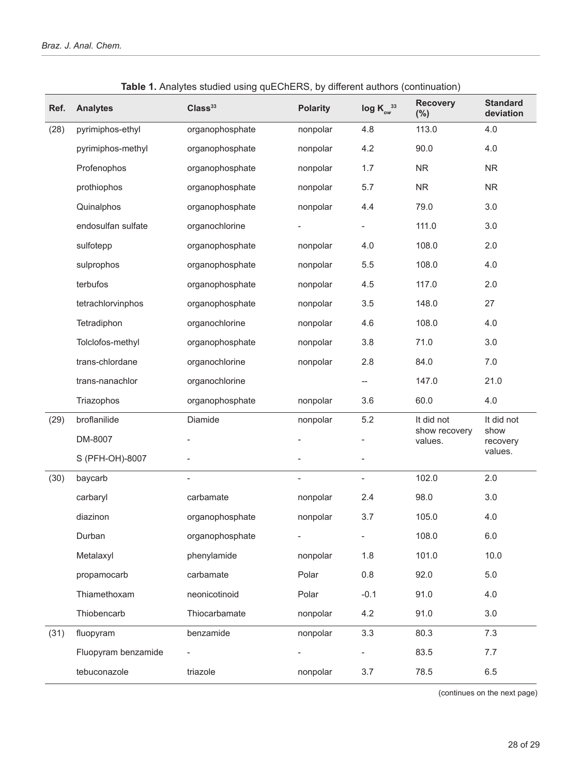| Ref. | <b>Analytes</b>     | Class <sup>33</sup> | <b>Polarity</b> | $log K_{ow}^{33}$        | <b>Recovery</b><br>(%)   | <b>Standard</b><br>deviation |
|------|---------------------|---------------------|-----------------|--------------------------|--------------------------|------------------------------|
| (28) | pyrimiphos-ethyl    | organophosphate     | nonpolar        | 4.8                      | 113.0                    | 4.0                          |
|      | pyrimiphos-methyl   | organophosphate     | nonpolar        | 4.2                      | 90.0                     | 4.0                          |
|      | Profenophos         | organophosphate     | nonpolar        | 1.7                      | <b>NR</b>                | <b>NR</b>                    |
|      | prothiophos         | organophosphate     | nonpolar        | 5.7                      | ${\sf NR}$               | ${\sf NR}$                   |
|      | Quinalphos          | organophosphate     | nonpolar        | 4.4                      | 79.0                     | 3.0                          |
|      | endosulfan sulfate  | organochlorine      |                 | $\overline{\phantom{a}}$ | 111.0                    | 3.0                          |
|      | sulfotepp           | organophosphate     | nonpolar        | 4.0                      | 108.0                    | 2.0                          |
|      | sulprophos          | organophosphate     | nonpolar        | 5.5                      | 108.0                    | 4.0                          |
|      | terbufos            | organophosphate     | nonpolar        | 4.5                      | 117.0                    | 2.0                          |
|      | tetrachlorvinphos   | organophosphate     | nonpolar        | 3.5                      | 148.0                    | 27                           |
|      | Tetradiphon         | organochlorine      | nonpolar        | 4.6                      | 108.0                    | 4.0                          |
|      | Tolclofos-methyl    | organophosphate     | nonpolar        | 3.8                      | 71.0                     | 3.0                          |
|      | trans-chlordane     | organochlorine      | nonpolar        | 2.8                      | 84.0                     | 7.0                          |
|      | trans-nanachlor     | organochlorine      |                 | $\overline{\phantom{a}}$ | 147.0                    | 21.0                         |
|      | Triazophos          | organophosphate     | nonpolar        | 3.6                      | 60.0                     | 4.0                          |
| (29) | broflanilide        | Diamide             | nonpolar        | 5.2                      | It did not               | It did not                   |
|      | DM-8007             |                     |                 | $\overline{\phantom{0}}$ | show recovery<br>values. | show<br>recovery             |
|      | S (PFH-OH)-8007     |                     |                 | $\overline{\phantom{a}}$ |                          | values.                      |
| (30) | baycarb             |                     |                 | $\overline{\phantom{a}}$ | 102.0                    | 2.0                          |
|      | carbaryl            | carbamate           | nonpolar        | 2.4                      | 98.0                     | 3.0                          |
|      | diazinon            | organophosphate     | nonpolar        | 3.7                      | 105.0                    | 4.0                          |
|      | Durban              | organophosphate     |                 |                          | 108.0                    | 6.0                          |
|      | Metalaxyl           | phenylamide         | nonpolar        | 1.8                      | 101.0                    | 10.0                         |
|      | propamocarb         | carbamate           | Polar           | 0.8                      | 92.0                     | 5.0                          |
|      | Thiamethoxam        | neonicotinoid       | Polar           | $-0.1$                   | 91.0                     | 4.0                          |
|      | Thiobencarb         | Thiocarbamate       | nonpolar        | 4.2                      | 91.0                     | 3.0                          |
| (31) | fluopyram           | benzamide           | nonpolar        | 3.3                      | 80.3                     | 7.3                          |
|      | Fluopyram benzamide |                     |                 |                          | 83.5                     | 7.7                          |
|      | tebuconazole        | triazole            | nonpolar        | 3.7                      | 78.5                     | 6.5                          |

**Table 1.** Analytes studied using quEChERS, by different authors (continuation)